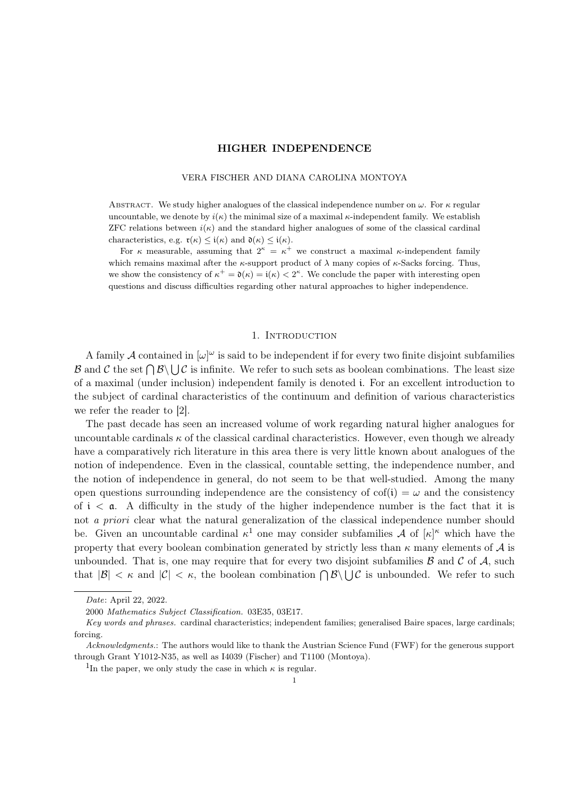### VERA FISCHER AND DIANA CAROLINA MONTOYA

ABSTRACT. We study higher analogues of the classical independence number on  $\omega$ . For  $\kappa$  regular uncountable, we denote by  $i(\kappa)$  the minimal size of a maximal  $\kappa$ -independent family. We establish ZFC relations between  $i(\kappa)$  and the standard higher analogues of some of the classical cardinal characteristics, e.g.  $\mathfrak{r}(\kappa) \leq \mathfrak{i}(\kappa)$  and  $\mathfrak{d}(\kappa) \leq \mathfrak{i}(\kappa)$ .

For  $\kappa$  measurable, assuming that  $2^{\kappa} = \kappa^+$  we construct a maximal  $\kappa$ -independent family which remains maximal after the  $\kappa$ -support product of  $\lambda$  many copies of  $\kappa$ -Sacks forcing. Thus, we show the consistency of  $\kappa^+ = \mathfrak{d}(\kappa) = \mathfrak{i}(\kappa) < 2^{\kappa}$ . We conclude the paper with interesting open questions and discuss difficulties regarding other natural approaches to higher independence.

## 1. INTRODUCTION

A family A contained in  $[\omega]^\omega$  is said to be independent if for every two finite disjoint subfamilies B and C the set  $\bigcap B\setminus\bigcup C$  is infinite. We refer to such sets as boolean combinations. The least size of a maximal (under inclusion) independent family is denoted i. For an excellent introduction to the subject of cardinal characteristics of the continuum and definition of various characteristics we refer the reader to [2].

The past decade has seen an increased volume of work regarding natural higher analogues for uncountable cardinals  $\kappa$  of the classical cardinal characteristics. However, even though we already have a comparatively rich literature in this area there is very little known about analogues of the notion of independence. Even in the classical, countable setting, the independence number, and the notion of independence in general, do not seem to be that well-studied. Among the many open questions surrounding independence are the consistency of  $\text{cof}(i) = \omega$  and the consistency of  $i < a$ . A difficulty in the study of the higher independence number is the fact that it is not a priori clear what the natural generalization of the classical independence number should be. Given an uncountable cardinal  $\kappa^1$  one may consider subfamilies A of  $|\kappa|^{\kappa}$  which have the property that every boolean combination generated by strictly less than  $\kappa$  many elements of  $\mathcal A$  is unbounded. That is, one may require that for every two disjoint subfamilies  $\beta$  and  $\beta$  of  $\mathcal{A}$ , such that  $|\mathcal{B}| < \kappa$  and  $|\mathcal{C}| < \kappa$ , the boolean combination  $\bigcap \mathcal{B} \setminus \bigcup \mathcal{C}$  is unbounded. We refer to such

Date: April 22, 2022.

<sup>2000</sup> Mathematics Subject Classification. 03E35, 03E17.

Key words and phrases. cardinal characteristics; independent families; generalised Baire spaces, large cardinals; forcing.

Acknowledgments.: The authors would like to thank the Austrian Science Fund (FWF) for the generous support through Grant Y1012-N35, as well as I4039 (Fischer) and T1100 (Montoya).

<sup>&</sup>lt;sup>1</sup>In the paper, we only study the case in which  $\kappa$  is regular.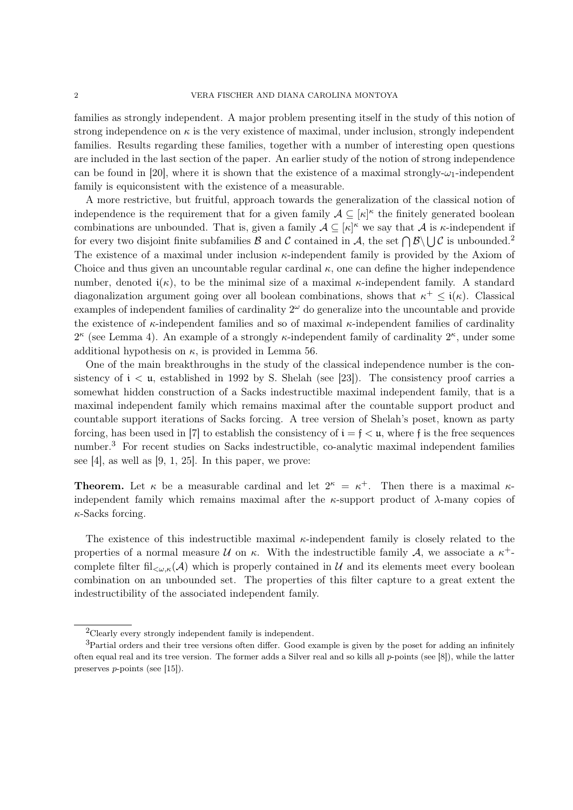families as strongly independent. A major problem presenting itself in the study of this notion of strong independence on  $\kappa$  is the very existence of maximal, under inclusion, strongly independent families. Results regarding these families, together with a number of interesting open questions are included in the last section of the paper. An earlier study of the notion of strong independence can be found in [20], where it is shown that the existence of a maximal strongly- $\omega_1$ -independent family is equiconsistent with the existence of a measurable.

A more restrictive, but fruitful, approach towards the generalization of the classical notion of independence is the requirement that for a given family  $A \subseteq [\kappa]^{\kappa}$  the finitely generated boolean combinations are unbounded. That is, given a family  $A \subseteq [\kappa]^{\kappa}$  we say that A is  $\kappa$ -independent if for every two disjoint finite subfamilies B and C contained in A, the set  $\bigcap \mathcal{B} \setminus \bigcup \mathcal{C}$  is unbounded.<sup>2</sup> The existence of a maximal under inclusion κ-independent family is provided by the Axiom of Choice and thus given an uncountable regular cardinal  $\kappa$ , one can define the higher independence number, denoted  $i(\kappa)$ , to be the minimal size of a maximal  $\kappa$ -independent family. A standard diagonalization argument going over all boolean combinations, shows that  $\kappa^+ \leq i(\kappa)$ . Classical examples of independent families of cardinality  $2^{\omega}$  do generalize into the uncountable and provide the existence of  $\kappa$ -independent families and so of maximal  $\kappa$ -independent families of cardinality  $2^{\kappa}$  (see Lemma 4). An example of a strongly  $\kappa$ -independent family of cardinality  $2^{\kappa}$ , under some additional hypothesis on  $\kappa$ , is provided in Lemma 56.

One of the main breakthroughs in the study of the classical independence number is the consistency of  $i < \mu$ , established in 1992 by S. Shelah (see [23]). The consistency proof carries a somewhat hidden construction of a Sacks indestructible maximal independent family, that is a maximal independent family which remains maximal after the countable support product and countable support iterations of Sacks forcing. A tree version of Shelah's poset, known as party forcing, has been used in [7] to establish the consistency of  $i = f < u$ , where f is the free sequences number.<sup>3</sup> For recent studies on Sacks indestructible, co-analytic maximal independent families see [4], as well as  $[9, 1, 25]$ . In this paper, we prove:

**Theorem.** Let  $\kappa$  be a measurable cardinal and let  $2^{\kappa} = \kappa^+$ . Then there is a maximal  $\kappa$ independent family which remains maximal after the  $\kappa$ -support product of  $\lambda$ -many copies of  $\kappa$ -Sacks forcing.

The existence of this indestructible maximal  $\kappa$ -independent family is closely related to the properties of a normal measure U on  $\kappa$ . With the indestructible family A, we associate a  $\kappa^+$ complete filter fil $\zeta_{\omega,\kappa}(\mathcal{A})$  which is properly contained in U and its elements meet every boolean combination on an unbounded set. The properties of this filter capture to a great extent the indestructibility of the associated independent family.

<sup>2</sup>Clearly every strongly independent family is independent.

<sup>&</sup>lt;sup>3</sup>Partial orders and their tree versions often differ. Good example is given by the poset for adding an infinitely often equal real and its tree version. The former adds a Silver real and so kills all  $p$ -points (see [8]), while the latter preserves p-points (see [15]).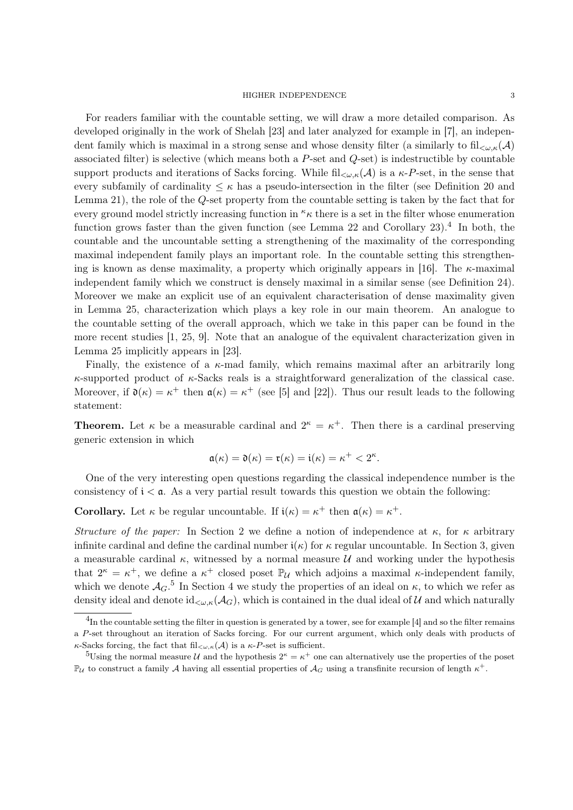For readers familiar with the countable setting, we will draw a more detailed comparison. As developed originally in the work of Shelah [23] and later analyzed for example in [7], an independent family which is maximal in a strong sense and whose density filter (a similarly to  $\text{fil}_{\leq \omega K}(\mathcal{A})$ ) associated filter) is selective (which means both a  $P$ -set and  $Q$ -set) is indestructible by countable support products and iterations of Sacks forcing. While  $\text{fil}_{\leq \omega,\kappa}(\mathcal{A})$  is a  $\kappa$ -P-set, in the sense that every subfamily of cardinality  $\leq \kappa$  has a pseudo-intersection in the filter (see Definition 20 and Lemma 21), the role of the Q-set property from the countable setting is taken by the fact that for every ground model strictly increasing function in  $\kappa$  there is a set in the filter whose enumeration function grows faster than the given function (see Lemma 22 and Corollary 23).<sup>4</sup> In both, the countable and the uncountable setting a strengthening of the maximality of the corresponding maximal independent family plays an important role. In the countable setting this strengthening is known as dense maximality, a property which originally appears in [16]. The  $\kappa$ -maximal independent family which we construct is densely maximal in a similar sense (see Definition 24). Moreover we make an explicit use of an equivalent characterisation of dense maximality given in Lemma 25, characterization which plays a key role in our main theorem. An analogue to the countable setting of the overall approach, which we take in this paper can be found in the more recent studies [1, 25, 9]. Note that an analogue of the equivalent characterization given in Lemma 25 implicitly appears in [23].

Finally, the existence of a  $\kappa$ -mad family, which remains maximal after an arbitrarily long  $\kappa$ -supported product of  $\kappa$ -Sacks reals is a straightforward generalization of the classical case. Moreover, if  $\mathfrak{d}(\kappa) = \kappa^+$  then  $\mathfrak{a}(\kappa) = \kappa^+$  (see [5] and [22]). Thus our result leads to the following statement:

**Theorem.** Let  $\kappa$  be a measurable cardinal and  $2^{\kappa} = \kappa^+$ . Then there is a cardinal preserving generic extension in which

$$
\mathfrak{a}(\kappa) = \mathfrak{d}(\kappa) = \mathfrak{r}(\kappa) = \mathfrak{i}(\kappa) = \kappa^+ < 2^{\kappa}.
$$

One of the very interesting open questions regarding the classical independence number is the consistency of  $i < a$ . As a very partial result towards this question we obtain the following:

**Corollary.** Let  $\kappa$  be regular uncountable. If  $i(\kappa) = \kappa^+$  then  $a(\kappa) = \kappa^+$ .

Structure of the paper: In Section 2 we define a notion of independence at  $\kappa$ , for  $\kappa$  arbitrary infinite cardinal and define the cardinal number  $i(\kappa)$  for  $\kappa$  regular uncountable. In Section 3, given a measurable cardinal  $\kappa$ , witnessed by a normal measure  $\mathcal U$  and working under the hypothesis that  $2^{\kappa} = \kappa^+$ , we define a  $\kappa^+$  closed poset  $\mathbb{P}_{\mathcal{U}}$  which adjoins a maximal  $\kappa$ -independent family, which we denote  $\mathcal{A}_G$ <sup>5</sup> In Section 4 we study the properties of an ideal on  $\kappa$ , to which we refer as density ideal and denote  $id_{\lt\omega,\kappa}(\mathcal{A}_G)$ , which is contained in the dual ideal of U and which naturally

 $^{4}$ In the countable setting the filter in question is generated by a tower, see for example [4] and so the filter remains a P-set throughout an iteration of Sacks forcing. For our current argument, which only deals with products of  $\kappa$ -Sacks forcing, the fact that fil<sub> $\langle \omega, \kappa(A) \rangle$ </sub> is a  $\kappa$ -P-set is sufficient.

<sup>&</sup>lt;sup>5</sup>Using the normal measure U and the hypothesis  $2^k = \kappa^+$  one can alternatively use the properties of the poset  $\mathbb{P}_U$  to construct a family A having all essential properties of  $\mathcal{A}_G$  using a transfinite recursion of length  $\kappa^+$ .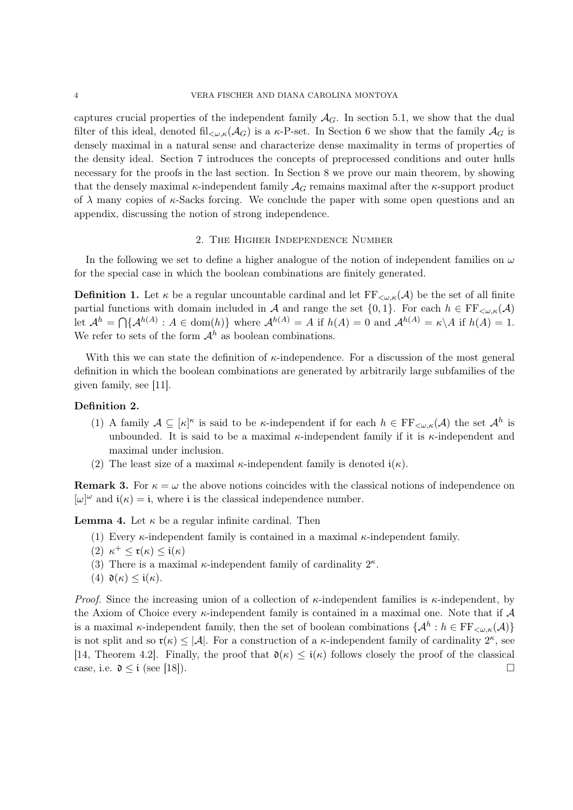captures crucial properties of the independent family  $A_G$ . In section 5.1, we show that the dual filter of this ideal, denoted fil<sub> $\langle \omega,\kappa(A_G) \rangle$ </sub> is a  $\kappa$ -P-set. In Section 6 we show that the family  $\mathcal{A}_G$  is densely maximal in a natural sense and characterize dense maximality in terms of properties of the density ideal. Section 7 introduces the concepts of preprocessed conditions and outer hulls necessary for the proofs in the last section. In Section 8 we prove our main theorem, by showing that the densely maximal  $\kappa$ -independent family  $\mathcal{A}_G$  remains maximal after the  $\kappa$ -support product of  $\lambda$  many copies of  $\kappa$ -Sacks forcing. We conclude the paper with some open questions and an appendix, discussing the notion of strong independence.

## 2. The Higher Independence Number

In the following we set to define a higher analogue of the notion of independent families on  $\omega$ for the special case in which the boolean combinations are finitely generated.

**Definition 1.** Let  $\kappa$  be a regular uncountable cardinal and let  $FF_{\leq \omega,\kappa}(\mathcal{A})$  be the set of all finite partial functions with domain included in A and range the set  $\{0, 1\}$ . For each  $h \in \mathrm{FF}_{\leq \omega, \kappa}(\mathcal{A})$ let  $\mathcal{A}^h = \bigcap \{ \mathcal{A}^{h(A)} : A \in \text{dom}(h) \}$  where  $\mathcal{A}^{h(A)} = A$  if  $h(A) = 0$  and  $\mathcal{A}^{h(A)} = \kappa \setminus A$  if  $h(A) = 1$ . We refer to sets of the form  $\mathcal{A}^h$  as boolean combinations.

With this we can state the definition of  $\kappa$ -independence. For a discussion of the most general definition in which the boolean combinations are generated by arbitrarily large subfamilies of the given family, see [11].

# Definition 2.

- (1) A family  $A \subseteq [\kappa]^{\kappa}$  is said to be  $\kappa$ -independent if for each  $h \in \mathrm{FF}_{\leq \omega,\kappa}(\mathcal{A})$  the set  $\mathcal{A}^h$  is unbounded. It is said to be a maximal  $\kappa$ -independent family if it is  $\kappa$ -independent and maximal under inclusion.
- (2) The least size of a maximal  $\kappa$ -independent family is denoted  $i(\kappa)$ .

**Remark 3.** For  $\kappa = \omega$  the above notions coincides with the classical notions of independence on  $[\omega]^\omega$  and  $i(\kappa) = i$ , where i is the classical independence number.

**Lemma 4.** Let  $\kappa$  be a regular infinite cardinal. Then

- (1) Every  $\kappa$ -independent family is contained in a maximal  $\kappa$ -independent family.
- (2)  $\kappa^+ \leq \mathfrak{r}(\kappa) \leq \mathfrak{i}(\kappa)$
- (3) There is a maximal  $\kappa$ -independent family of cardinality  $2^{\kappa}$ .
- (4)  $\mathfrak{d}(\kappa) \leq \mathfrak{i}(\kappa)$ .

*Proof.* Since the increasing union of a collection of  $\kappa$ -independent families is  $\kappa$ -independent, by the Axiom of Choice every  $\kappa$ -independent family is contained in a maximal one. Note that if  $\mathcal A$ is a maximal  $\kappa$ -independent family, then the set of boolean combinations  $\{\mathcal{A}^h : h \in \mathrm{FF}_{\leq \omega,\kappa}(\mathcal{A})\}$ is not split and so  $\mathfrak{r}(\kappa) \leq |\mathcal{A}|$ . For a construction of a  $\kappa$ -independent family of cardinality  $2^{\kappa}$ , see [14, Theorem 4.2]. Finally, the proof that  $\mathfrak{d}(\kappa) \leq \mathfrak{i}(\kappa)$  follows closely the proof of the classical case, i.e.  $\mathfrak{d} \leq \mathfrak{i}$  (see [18]).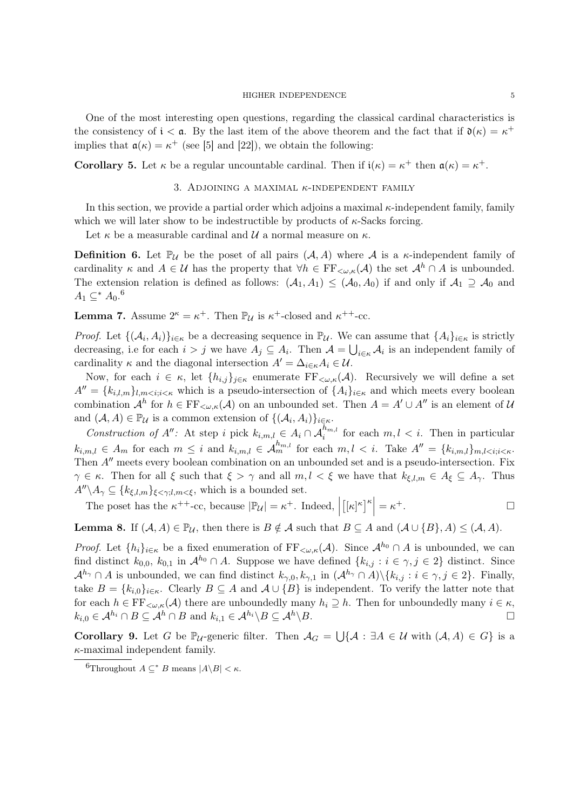One of the most interesting open questions, regarding the classical cardinal characteristics is the consistency of  $i < a$ . By the last item of the above theorem and the fact that if  $\mathfrak{d}(\kappa) = \kappa^+$ implies that  $a(\kappa) = \kappa^+$  (see [5] and [22]), we obtain the following:

**Corollary 5.** Let  $\kappa$  be a regular uncountable cardinal. Then if  $i(\kappa) = \kappa^+$  then  $\mathfrak{a}(\kappa) = \kappa^+$ .

## 3. ADJOINING A MAXIMAL  $\kappa$ -INDEPENDENT FAMILY

In this section, we provide a partial order which adjoins a maximal  $\kappa$ -independent family, family which we will later show to be indestructible by products of  $\kappa$ -Sacks forcing.

Let  $\kappa$  be a measurable cardinal and  $\mathcal U$  a normal measure on  $\kappa$ .

**Definition 6.** Let  $\mathbb{P}_{\mathcal{U}}$  be the poset of all pairs  $(\mathcal{A}, \mathcal{A})$  where  $\mathcal{A}$  is a  $\kappa$ -independent family of cardinality  $\kappa$  and  $A \in \mathcal{U}$  has the property that  $\forall h \in \mathrm{FF}_{\leq \omega,\kappa}(\mathcal{A})$  the set  $\mathcal{A}^h \cap A$  is unbounded. The extension relation is defined as follows:  $(A_1, A_1) \leq (A_0, A_0)$  if and only if  $A_1 \supseteq A_0$  and  $A_1 \subseteq^* A_0$ .<sup>6</sup>

**Lemma 7.** Assume  $2^{\kappa} = \kappa^+$ . Then  $\mathbb{P}_{\mathcal{U}}$  is  $\kappa^+$ -closed and  $\kappa^{++}$ -cc.

*Proof.* Let  $\{(\mathcal{A}_i, \mathcal{A}_i)\}_{i \in \kappa}$  be a decreasing sequence in  $\mathbb{P}_{\mathcal{U}}$ . We can assume that  $\{A_i\}_{i \in \kappa}$  is strictly decreasing, i.e for each  $i > j$  we have  $A_j \subseteq A_i$ . Then  $\mathcal{A} = \bigcup_{i \in \kappa} \mathcal{A}_i$  is an independent family of cardinality  $\kappa$  and the diagonal intersection  $A' = \Delta_{i \in \kappa} A_i \in \mathcal{U}$ .

Now, for each  $i \in \kappa$ , let  $\{h_{i,j}\}_{j\in\kappa}$  enumerate  $\text{FF}_{\leq\omega,\kappa}(\mathcal{A})$ . Recursively we will define a set  $A'' = \{k_{i,l,m}\}_{l,m \leq i; i \leq \kappa}$  which is a pseudo-intersection of  $\{A_i\}_{i \in \kappa}$  and which meets every boolean combination  $\mathcal{A}^h$  for  $h \in \mathrm{FF}_{\leq \omega,\kappa}(\mathcal{A})$  on an unbounded set. Then  $A = A' \cup A''$  is an element of  $\mathcal{U}$ and  $(A, A) \in \mathbb{P}_{\mathcal{U}}$  is a common extension of  $\{(\mathcal{A}_i, A_i)\}_{i \in \kappa}$ .

Construction of A'': At step i pick  $k_{i,m,l} \in A_i \cap A_i^{h_{m,l}}$  for each  $m, l \leq i$ . Then in particular  $k_{i,m,l} \in A_m$  for each  $m \leq i$  and  $k_{i,m,l} \in \mathcal{A}_m^{h_{m,l}}$  for each  $m, l \leq i$ . Take  $A'' = \{k_{i,m,l}\}_{m,l \leq i; i \leq \kappa}$ . Then  $A''$  meets every boolean combination on an unbounded set and is a pseudo-intersection. Fix  $\gamma \in \kappa$ . Then for all  $\xi$  such that  $\xi > \gamma$  and all  $m, l < \xi$  we have that  $k_{\xi,l,m} \in A_{\xi} \subseteq A_{\gamma}$ . Thus  $A''\backslash A_{\gamma} \subseteq \{k_{\xi,l,m}\}_{\xi<\gamma;l,m<\xi}$ , which is a bounded set.

The poset has the  $\kappa^{++}$ -cc, because  $|\mathbb{P}_{\mathcal{U}}| = \kappa^+$ . Indeed,  $\left[[\kappa]^{\kappa}\right]^{\kappa} = \kappa$  $+$ .  $\Box$ 

**Lemma 8.** If  $(A, A) \in \mathbb{P}_{\mathcal{U}}$ , then there is  $B \notin \mathcal{A}$  such that  $B \subseteq A$  and  $(A \cup \{B\}, A) \leq (A, A)$ .

*Proof.* Let  $\{h_i\}_{i\in\kappa}$  be a fixed enumeration of  $FF_{\prec\omega,\kappa}(\mathcal{A})$ . Since  $\mathcal{A}^{h_0}\cap\mathcal{A}$  is unbounded, we can find distinct  $k_{0,0}$ ,  $k_{0,1}$  in  $\mathcal{A}^{h_0} \cap A$ . Suppose we have defined  $\{k_{i,j} : i \in \gamma, j \in 2\}$  distinct. Since  $\mathcal{A}^{h_{\gamma}} \cap A$  is unbounded, we can find distinct  $k_{\gamma,0}, k_{\gamma,1}$  in  $(\mathcal{A}^{h_{\gamma}} \cap A) \setminus \{k_{i,j} : i \in \gamma, j \in 2\}$ . Finally, take  $B = \{k_{i,0}\}_{i \in \kappa}$ . Clearly  $B \subseteq A$  and  $A \cup \{B\}$  is independent. To verify the latter note that for each  $h \in \mathrm{FF}_{\leq \omega,\kappa}(\mathcal{A})$  there are unboundedly many  $h_i \supseteq h$ . Then for unboundedly many  $i \in \kappa$ ,  $k_{i,0} \in A^{h_i} \cap B \subseteq A^h \cap B$  and  $k_{i,1} \in A^{h_i} \backslash B \subseteq A^h \backslash B$ .

Corollary 9. Let G be  $\mathbb{P}_{\mathcal{U}}$ -generic filter. Then  $\mathcal{A}_G = \bigcup \{ \mathcal{A} : \exists A \in \mathcal{U} \text{ with } (\mathcal{A}, A) \in G \}$  is a  $\kappa$ -maximal independent family.

<sup>&</sup>lt;sup>6</sup>Throughout  $A \subseteq^* B$  means  $|A \setminus B| < \kappa$ .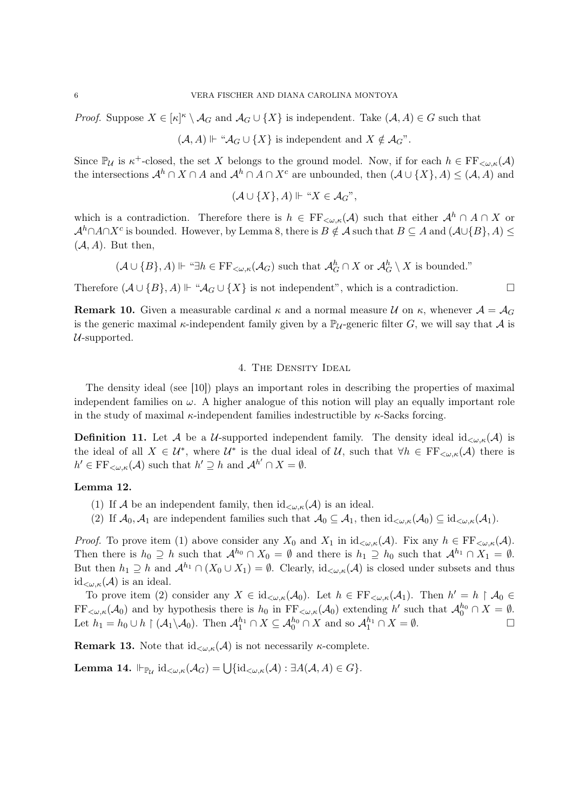*Proof.* Suppose  $X \in [\kappa]^{\kappa} \setminus \mathcal{A}_G$  and  $\mathcal{A}_G \cup \{X\}$  is independent. Take  $(\mathcal{A}, \mathcal{A}) \in G$  such that

 $(\mathcal{A}, A) \Vdash \text{``} \mathcal{A}_G \cup \{X\}$  is independent and  $X \notin \mathcal{A}_G$ ".

Since  $\mathbb{P}_{\mathcal{U}}$  is  $\kappa^+$ -closed, the set X belongs to the ground model. Now, if for each  $h \in \mathrm{FF}_{\leq \omega,\kappa}(\mathcal{A})$ the intersections  $\mathcal{A}^h \cap X \cap A$  and  $\mathcal{A}^h \cap A \cap X^c$  are unbounded, then  $(\mathcal{A} \cup \{X\}, A) \leq (\mathcal{A}, A)$  and

$$
(\mathcal{A}\cup\{X\},A)\Vdash \text{``}X\in\mathcal{A}_G\text{''},
$$

which is a contradiction. Therefore there is  $h \in \mathrm{FF}_{\leq \omega,\kappa}(\mathcal{A})$  such that either  $\mathcal{A}^h \cap A \cap X$  or  $\mathcal{A}^h \cap A \cap X^c$  is bounded. However, by Lemma 8, there is  $B \notin \mathcal{A}$  such that  $B \subseteq A$  and  $(\mathcal{A} \cup \{B\}, A) \leq$  $(A, A)$ . But then,

 $(\mathcal{A} \cup \{B\}, A) \Vdash \text{``}\exists h \in \text{FF}_{\prec \omega, \kappa}(\mathcal{A}_G) \text{ such that } \mathcal{A}_G^h \cap X \text{ or } \mathcal{A}_G^h \setminus X \text{ is bounded."}$ 

Therefore  $(A \cup \{B\}, A) \Vdash "A_G \cup \{X\}$  is not independent", which is a contradiction.  $□$ 

**Remark 10.** Given a measurable cardinal  $\kappa$  and a normal measure U on  $\kappa$ , whenever  $\mathcal{A} = \mathcal{A}_G$ is the generic maximal  $\kappa$ -independent family given by a  $\mathbb{P}_{\mathcal{U}}$ -generic filter G, we will say that A is  $U$ -supported.

### 4. THE DENSITY IDEAL

The density ideal (see [10]) plays an important roles in describing the properties of maximal independent families on  $\omega$ . A higher analogue of this notion will play an equally important role in the study of maximal  $\kappa$ -independent families indestructible by  $\kappa$ -Sacks forcing.

**Definition 11.** Let A be a U-supported independent family. The density ideal  $id_{\leq \omega,\kappa}(\mathcal{A})$  is the ideal of all  $X \in \mathcal{U}^*$ , where  $\mathcal{U}^*$  is the dual ideal of  $\mathcal{U}$ , such that  $\forall h \in \mathrm{FF}_{\leq \omega,\kappa}(\mathcal{A})$  there is  $h' \in \mathrm{FF}_{\langle \omega, \kappa}(\mathcal{A})$  such that  $h' \supseteq h$  and  $\mathcal{A}^{h'} \cap X = \emptyset$ .

### Lemma 12.

- (1) If A be an independent family, then  $\mathrm{id}_{\leq \omega,\kappa}(\mathcal{A})$  is an ideal.
- (2) If  $\mathcal{A}_0$ ,  $\mathcal{A}_1$  are independent families such that  $\mathcal{A}_0 \subseteq \mathcal{A}_1$ , then  $id_{\lt \omega,\kappa}(\mathcal{A}_0) \subseteq id_{\lt \omega,\kappa}(\mathcal{A}_1)$ .

*Proof.* To prove item (1) above consider any  $X_0$  and  $X_1$  in  $id_{\lt \omega,\kappa}(\mathcal{A})$ . Fix any  $h \in \mathrm{FF}_{\lt \omega,\kappa}(\mathcal{A})$ . Then there is  $h_0 \supseteq h$  such that  $\mathcal{A}^{h_0} \cap X_0 = \emptyset$  and there is  $h_1 \supseteq h_0$  such that  $\mathcal{A}^{h_1} \cap X_1 = \emptyset$ . But then  $h_1 \supseteq h$  and  $\mathcal{A}^{h_1} \cap (X_0 \cup X_1) = \emptyset$ . Clearly, id<sub>< $\omega, \kappa(\mathcal{A})$ </sub> is closed under subsets and thus  $id_{\lt\omega,\kappa}(\mathcal{A})$  is an ideal.

To prove item (2) consider any  $X \in id_{\leq \omega,\kappa}(\mathcal{A}_0)$ . Let  $h \in \mathrm{FF}_{\leq \omega,\kappa}(\mathcal{A}_1)$ . Then  $h' = h \upharpoonright \mathcal{A}_0 \in$  $\text{FF}_{\langle\omega,\kappa}(\mathcal{A}_0)$  and by hypothesis there is  $h_0$  in  $\text{FF}_{\langle\omega,\kappa}(\mathcal{A}_0)$  extending h' such that  $\mathcal{A}_0^{h_0} \cap X = \emptyset$ . Let  $h_1 = h_0 \cup h \upharpoonright (\mathcal{A}_1 \backslash \mathcal{A}_0)$ . Then  $\mathcal{A}_1^{h_1} \cap X \subseteq \mathcal{A}_0^{h_0} \cap X$  and so  $\mathcal{A}_1^{h_1} \cap X = \emptyset$ .

**Remark 13.** Note that  $id_{\lt \omega,\kappa}(\mathcal{A})$  is not necessarily  $\kappa$ -complete.

**Lemma 14.**  $\Vdash_{\mathbb{P}_{\mathcal{U}}} \mathrm{id}_{<\omega,\kappa}(\mathcal{A}_G) = \bigcup \{ \mathrm{id}_{<\omega,\kappa}(\mathcal{A}) : \exists A(\mathcal{A},A) \in G \}.$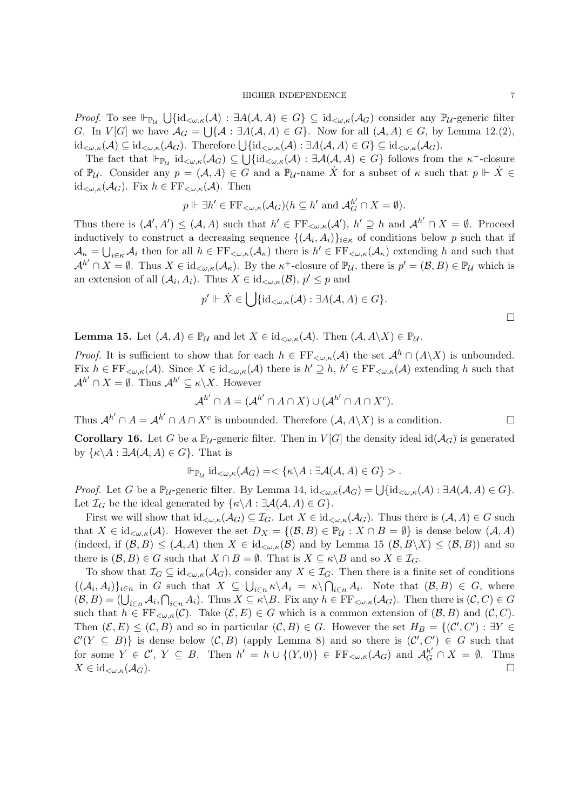*Proof.* To see  $\Vdash_{\mathbb{P}_{\mathcal{U}}} \bigcup \{\mathrm{id}_{\leq \omega,\kappa}(\mathcal{A}) : \exists A(\mathcal{A},A) \in G\} \subseteq \mathrm{id}_{\leq \omega,\kappa}(\mathcal{A}_{G})$  consider any  $\mathbb{P}_{\mathcal{U}}$ -generic filter G. In  $V[G]$  we have  $\mathcal{A}_G = \bigcup \{ \mathcal{A} : \exists A(\mathcal{A}, A) \in G \}$ . Now for all  $(\mathcal{A}, A) \in G$ , by Lemma 12.(2),  $\mathrm{id}_{\lt\omega,\kappa}(\mathcal{A})\subseteq\mathrm{id}_{\lt\omega,\kappa}(\mathcal{A}_G).$  Therefore  $\bigcup\{\mathrm{id}_{\lt\omega,\kappa}(\mathcal{A}): \exists A(\mathcal{A},A)\in G\}\subseteq\mathrm{id}_{\lt\omega,\kappa}(\mathcal{A}_G).$ 

The fact that  $\vdash_{\mathbb{P}_{\mathcal{U}}} \mathrm{id}_{\lt}\omega,\kappa(\mathcal{A}_G) \subseteq \bigcup \{\mathrm{id}_{\lt}\omega,\kappa(\mathcal{A}) : \exists \mathcal{A}(\mathcal{A},A) \in G\}$  follows from the  $\kappa^+$ -closure of  $\mathbb{P}_{\mathcal{U}}$ . Consider any  $p = (\mathcal{A}, A) \in G$  and a  $\mathbb{P}_{\mathcal{U}}$ -name  $\dot{X}$  for a subset of  $\kappa$  such that  $p \Vdash \dot{X} \in$ id<sub> $\lt \omega,\kappa(\mathcal{A}_G)$ </sub>. Fix  $h \in \mathrm{FF}_{\lt \omega,\kappa}(\mathcal{A})$ . Then

$$
p \Vdash \exists h' \in \text{FF}_{<\omega,\kappa}(\mathcal{A}_G)(h \subseteq h' \text{ and } \mathcal{A}_G^{h'} \cap X = \emptyset).
$$

Thus there is  $(A', A') \leq (A, A)$  such that  $h' \in \text{FF}_{\langle \omega, \kappa}(\mathcal{A}'), h' \supseteq h$  and  $\mathcal{A}^{h'} \cap X = \emptyset$ . Proceed inductively to construct a decreasing sequence  $\{(\mathcal{A}_i, A_i)\}_{i \in \kappa}$  of conditions below p such that if  $\mathcal{A}_{\kappa} = \bigcup_{i \in \kappa} \mathcal{A}_i$  then for all  $h \in \mathrm{FF}_{\langle \omega, \kappa}(\mathcal{A}_{\kappa})$  there is  $h' \in \mathrm{FF}_{\langle \omega, \kappa}(\mathcal{A}_{\kappa})$  extending h and such that  $\mathcal{A}^{h'} \cap X = \emptyset$ . Thus  $X \in id_{\leq \omega,\kappa}(\mathcal{A}_{\kappa})$ . By the  $\kappa^+$ -closure of  $\mathbb{P}_{\mathcal{U}}$ , there is  $p' = (\mathcal{B}, B) \in \mathbb{P}_{\mathcal{U}}$  which is an extension of all  $(A_i, A_i)$ . Thus  $X \in \mathrm{id}_{\lt \omega, \kappa}(\mathcal{B}), p' \leq p$  and

$$
p' \Vdash \dot{X} \in \bigcup \{ \mathrm{id}_{<\omega,\kappa}(\mathcal{A}) : \exists A(\mathcal{A}, A) \in G \}.
$$

**Lemma 15.** Let  $(A, A) \in \mathbb{P}_{\mathcal{U}}$  and let  $X \in id_{\leq \omega, \kappa}(\mathcal{A})$ . Then  $(A, A \setminus X) \in \mathbb{P}_{\mathcal{U}}$ .

*Proof.* It is sufficient to show that for each  $h \in \mathrm{FF}_{\leq \omega,\kappa}(\mathcal{A})$  the set  $\mathcal{A}^h \cap (A \setminus X)$  is unbounded. Fix  $h \in \mathrm{FF}_{\leq \omega,\kappa}(\mathcal{A})$ . Since  $X \in \mathrm{id}_{\leq \omega,\kappa}(\mathcal{A})$  there is  $h' \supseteq h$ ,  $h' \in \mathrm{FF}_{\leq \omega,\kappa}(\mathcal{A})$  extending h such that  $\mathcal{A}^{h'} \cap X = \emptyset$ . Thus  $\mathcal{A}^{h'} \subseteq \kappa \backslash X$ . However

$$
\mathcal{A}^{h'} \cap A = (\mathcal{A}^{h'} \cap A \cap X) \cup (\mathcal{A}^{h'} \cap A \cap X^c).
$$

Thus  $\mathcal{A}^{h'} \cap A = \mathcal{A}^{h'} \cap A \cap X^c$  is unbounded. Therefore  $(\mathcal{A}, A \backslash X)$  is a condition.

**Corollary 16.** Let G be a  $\mathbb{P}_{\mathcal{U}}$ -generic filter. Then in  $V[G]$  the density ideal id( $\mathcal{A}_G$ ) is generated by  $\{\kappa \backslash A : \exists \mathcal{A}(\mathcal{A}, A) \in G\}$ . That is

$$
\Vdash_{\mathbb{P}_{\mathcal{U}}} \mathrm{id}_{<\omega,\kappa}(\mathcal{A}_G)=<\{\kappa\backslash A:\exists \mathcal{A}(\mathcal{A},A)\in G\}>.
$$

*Proof.* Let G be a  $\mathbb{P}_{\mathcal{U}}$ -generic filter. By Lemma 14,  $id_{\lt \omega,\kappa}(\mathcal{A}_G) = \bigcup \{ id_{\lt \omega,\kappa}(\mathcal{A}) : \exists A(\mathcal{A}, A) \in G \}.$ Let  $\mathcal{I}_G$  be the ideal generated by  $\{\kappa \backslash A : \exists \mathcal{A}(\mathcal{A}, A) \in G\}.$ 

First we will show that  $id_{\lt \omega,\kappa}(\mathcal{A}_G) \subseteq \mathcal{I}_G$ . Let  $X \in id_{\lt \omega,\kappa}(\mathcal{A}_G)$ . Thus there is  $(\mathcal{A},\mathcal{A}) \in G$  such that  $X \in \mathrm{id}_{\leq \omega,\kappa}(\mathcal{A})$ . However the set  $D_X = \{(\mathcal{B},B) \in \mathbb{P}_\mathcal{U} : X \cap B = \emptyset\}$  is dense below  $(\mathcal{A}, A)$ (indeed, if  $(\mathcal{B}, B) \leq (\mathcal{A}, A)$  then  $X \in \mathrm{id}_{\lt \omega, \kappa}(\mathcal{B})$  and by Lemma 15  $(\mathcal{B}, B \setminus X) \leq (\mathcal{B}, B)$ ) and so there is  $(\mathcal{B}, B) \in G$  such that  $X \cap B = \emptyset$ . That is  $X \subseteq \kappa \backslash B$  and so  $X \in \mathcal{I}_G$ .

To show that  $\mathcal{I}_G \subseteq \mathrm{id}_{\lt \omega,\kappa}(\mathcal{A}_G)$ , consider any  $X \in \mathcal{I}_G$ . Then there is a finite set of conditions  $\{(\mathcal{A}_i, A_i)\}_{i\in n}$  in G such that  $X \subseteq \bigcup_{i\in n} \kappa \backslash A_i = \kappa \backslash \bigcap_{i\in n} A_i$ . Note that  $(\mathcal{B}, B) \in G$ , where  $(\mathcal{B}, B) = (\bigcup_{i \in n} A_i, \bigcap_{i \in n} A_i)$ . Thus  $X \subseteq \kappa \backslash B$ . Fix any  $h \in \mathrm{FF}_{\prec \omega, \kappa}(\mathcal{A}_G)$ . Then there is  $(\mathcal{C}, C) \in G$ such that  $h \in \mathrm{FF}_{\langle \omega, \kappa]}(\mathcal{C})$ . Take  $(\mathcal{E}, E) \in G$  which is a common extension of  $(\mathcal{B}, B)$  and  $(\mathcal{C}, C)$ . Then  $(\mathcal{E}, E) \leq (\mathcal{C}, B)$  and so in particular  $(\mathcal{C}, B) \in G$ . However the set  $H_B = \{(\mathcal{C}', \mathcal{C}') : \exists Y \in G\}$  $\mathcal{C}'(Y \subseteq B)$  is dense below  $(\mathcal{C}, B)$  (apply Lemma 8) and so there is  $(\mathcal{C}', \mathcal{C}') \in G$  such that for some  $Y \in \mathcal{C}'$ ,  $Y \subseteq B$ . Then  $h' = h \cup \{(Y,0)\}\in \mathrm{FF}_{\prec \omega,\kappa}(\mathcal{A}_G)$  and  $\mathcal{A}_G^{h'} \cap X = \emptyset$ . Thus  $X \in \mathrm{id}_{\lt \omega,\kappa}(\mathcal{A}_G).$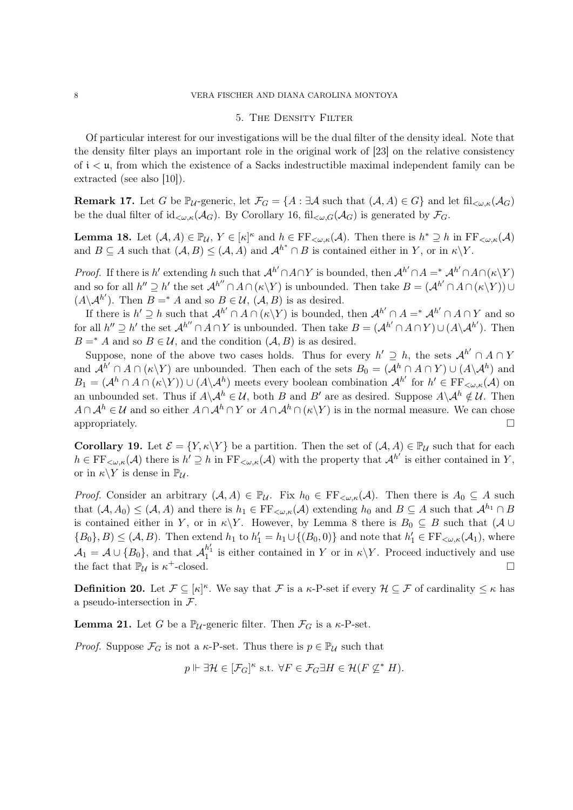#### 5. The Density Filter

Of particular interest for our investigations will be the dual filter of the density ideal. Note that the density filter plays an important role in the original work of [23] on the relative consistency of i < u, from which the existence of a Sacks indestructible maximal independent family can be extracted (see also [10]).

**Remark 17.** Let G be  $\mathbb{P}_{\mathcal{U}}$ -generic, let  $\mathcal{F}_G = \{A : \exists \mathcal{A} \text{ such that } (\mathcal{A}, A) \in G\}$  and let fil $\mathcal{L}_{\omega, \kappa}(\mathcal{A}_G)$ be the dual filter of  $\mathrm{id}_{\lt\omega,\kappa}(\mathcal{A}_G)$ . By Corollary 16,  $\mathrm{fil}_{\lt\omega,G}(\mathcal{A}_G)$  is generated by  $\mathcal{F}_G$ .

**Lemma 18.** Let  $(A, A) \in \mathbb{P}_{\mathcal{U}}, Y \in [\kappa]^{\kappa}$  and  $h \in \mathrm{FF}_{\langle \omega, \kappa]}(\mathcal{A})$ . Then there is  $h^* \supseteq h$  in  $\mathrm{FF}_{\langle \omega, \kappa]}(\mathcal{A})$ and  $B \subseteq A$  such that  $(A, B) \le (A, A)$  and  $A^{h^*} \cap B$  is contained either in Y, or in  $\kappa \backslash Y$ .

*Proof.* If there is h' extending h such that  $\mathcal{A}^{h'} \cap A \cap Y$  is bounded, then  $\mathcal{A}^{h'} \cap A =^* \mathcal{A}^{h'} \cap A \cap (\kappa \setminus Y)$ and so for all  $h'' \supseteq h'$  the set  $\mathcal{A}^{h''} \cap A \cap (\kappa \backslash Y)$  is unbounded. Then take  $B = (\mathcal{A}^{h'} \cap A \cap (\kappa \backslash Y)) \cup$  $(A \backslash A^{h'})$ . Then  $B =^* A$  and so  $B \in \mathcal{U}$ ,  $(\mathcal{A}, B)$  is as desired.

If there is  $h' \supseteq h$  such that  $\mathcal{A}^{h'} \cap A \cap (\kappa \backslash Y)$  is bounded, then  $\mathcal{A}^{h'} \cap A =^* \mathcal{A}^{h'} \cap A \cap Y$  and so for all  $h'' \supseteq h'$  the set  $\mathcal{A}^{h''} \cap A \cap Y$  is unbounded. Then take  $B = (\mathcal{A}^{h'} \cap A \cap Y) \cup (A \setminus \mathcal{A}^{h'})$ . Then  $B = * A$  and so  $B \in \mathcal{U}$ , and the condition  $(A, B)$  is as desired.

Suppose, none of the above two cases holds. Thus for every  $h' \supseteq h$ , the sets  $\mathcal{A}^{h'} \cap A \cap Y$ and  $\mathcal{A}^{h'} \cap A \cap (\kappa \backslash Y)$  are unbounded. Then each of the sets  $B_0 = (\mathcal{A}^h \cap A \cap Y) \cup (A \backslash \mathcal{A}^h)$  and  $B_1 = (\mathcal{A}^h \cap A \cap (\kappa \backslash Y)) \cup (A \backslash \mathcal{A}^h)$  meets every boolean combination  $\mathcal{A}^{h'}$  for  $h' \in \mathrm{FF}_{\leq \omega,\kappa}(\mathcal{A})$  on an unbounded set. Thus if  $A \setminus A^h \in U$ , both B and B' are as desired. Suppose  $A \setminus A^h \notin U$ . Then  $A \cap A^h \in \mathcal{U}$  and so either  $A \cap A^h \cap Y$  or  $A \cap A^h \cap (\kappa \backslash Y)$  is in the normal measure. We can chose appropriately.

**Corollary 19.** Let  $\mathcal{E} = \{Y, \kappa \backslash Y\}$  be a partition. Then the set of  $(\mathcal{A}, \mathcal{A}) \in \mathbb{P}_{\mathcal{U}}$  such that for each  $h \in \mathrm{FF}_{\leq \omega,\kappa}(\mathcal{A})$  there is  $h' \supseteq h$  in  $\mathrm{FF}_{\leq \omega,\kappa}(\mathcal{A})$  with the property that  $\mathcal{A}^{h'}$  is either contained in Y, or in  $\kappa \backslash Y$  is dense in  $\mathbb{P}_{\mathcal{U}}$ .

*Proof.* Consider an arbitrary  $(A, A) \in \mathbb{P}_{\mathcal{U}}$ . Fix  $h_0 \in \mathrm{FF}_{\leq \omega, \kappa}(\mathcal{A})$ . Then there is  $A_0 \subseteq A$  such that  $(A, A_0) \leq (A, A)$  and there is  $h_1 \in \text{FF}_{\leq \omega, \kappa}(A)$  extending  $h_0$  and  $B \subseteq A$  such that  $A^{h_1} \cap B$ is contained either in Y, or in  $\kappa\backslash Y$ . However, by Lemma 8 there is  $B_0 \subseteq B$  such that  $(A \cup$  $\{B_0\}, B) \leq (\mathcal{A}, B)$ . Then extend  $h_1$  to  $h'_1 = h_1 \cup \{(B_0, 0)\}\$  and note that  $h'_1 \in \mathrm{FF}_{\prec \omega, \kappa}(\mathcal{A}_1)$ , where  $\mathcal{A}_1 = \mathcal{A} \cup \{B_0\}$ , and that  $\mathcal{A}_1^{h'_1}$  is either contained in Y or in  $\kappa \backslash Y$ . Proceed inductively and use the fact that  $\mathbb{P}_{\mathcal{U}}$  is  $\kappa^+$ -closed.

**Definition 20.** Let  $\mathcal{F} \subseteq [\kappa]^{\kappa}$ . We say that  $\mathcal{F}$  is a  $\kappa$ -P-set if every  $\mathcal{H} \subseteq \mathcal{F}$  of cardinality  $\leq \kappa$  has a pseudo-intersection in F.

**Lemma 21.** Let G be a  $\mathbb{P}_{\mathcal{U}}$ -generic filter. Then  $\mathcal{F}_G$  is a  $\kappa$ -P-set.

*Proof.* Suppose  $\mathcal{F}_G$  is not a  $\kappa$ -P-set. Thus there is  $p \in \mathbb{P}_U$  such that

$$
p \Vdash \exists \mathcal{H} \in [\mathcal{F}_G]^{\kappa} \text{ s.t. } \forall F \in \mathcal{F}_G \exists H \in \mathcal{H}(F \not\subseteq^* H).
$$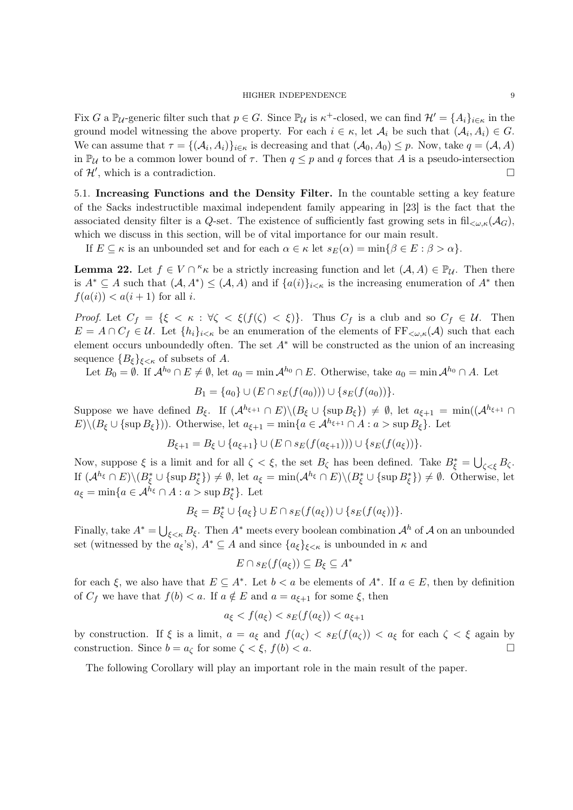Fix G a  $\mathbb{P}_{\mathcal{U}}$ -generic filter such that  $p \in G$ . Since  $\mathbb{P}_{\mathcal{U}}$  is  $\kappa^+$ -closed, we can find  $\mathcal{H}' = \{A_i\}_{i \in \kappa}$  in the ground model witnessing the above property. For each  $i \in \kappa$ , let  $\mathcal{A}_i$  be such that  $(\mathcal{A}_i, A_i) \in G$ . We can assume that  $\tau = \{(\mathcal{A}_i, A_i)\}_{i \in \kappa}$  is decreasing and that  $(\mathcal{A}_0, A_0) \leq p$ . Now, take  $q = (\mathcal{A}, A)$ in  $\mathbb{P}_{\mathcal{U}}$  to be a common lower bound of  $\tau$ . Then  $q \leq p$  and q forces that A is a pseudo-intersection of  $\mathcal{H}'$ , which is a contradiction.

5.1. Increasing Functions and the Density Filter. In the countable setting a key feature of the Sacks indestructible maximal independent family appearing in [23] is the fact that the associated density filter is a Q-set. The existence of sufficiently fast growing sets in fil<sub> $\lt \omega,\kappa(\mathcal{A}_G)$ ,</sub> which we discuss in this section, will be of vital importance for our main result.

If  $E \subseteq \kappa$  is an unbounded set and for each  $\alpha \in \kappa$  let  $s_E(\alpha) = \min\{\beta \in E : \beta > \alpha\}.$ 

**Lemma 22.** Let  $f \in V \cap K$  be a strictly increasing function and let  $(A, A) \in \mathbb{P}_{\mathcal{U}}$ . Then there is  $A^* \subseteq A$  such that  $(A, A^*) \subseteq (A, A)$  and if  $\{a(i)\}_{i \leq \kappa}$  is the increasing enumeration of  $A^*$  then  $f(a(i)) < a(i+1)$  for all i.

Proof. Let  $C_f = \{\xi \leq \kappa : \forall \zeta \leq \xi(f(\zeta) \leq \xi)\}\$ . Thus  $C_f$  is a club and so  $C_f \in \mathcal{U}$ . Then  $E = A \cap C_f \in \mathcal{U}$ . Let  $\{h_i\}_{i \leq \kappa}$  be an enumeration of the elements of  $FF_{\leq \omega,\kappa}(\mathcal{A})$  such that each element occurs unboundedly often. The set  $A^*$  will be constructed as the union of an increasing sequence  ${B_{\varepsilon}}_{\varepsilon<\kappa}$  of subsets of A.

Let  $B_0 = \emptyset$ . If  $\mathcal{A}^{h_0} \cap E \neq \emptyset$ , let  $a_0 = \min \mathcal{A}^{h_0} \cap E$ . Otherwise, take  $a_0 = \min \mathcal{A}^{h_0} \cap A$ . Let

$$
B_1 = \{a_0\} \cup (E \cap s_E(f(a_0))) \cup \{s_E(f(a_0))\}.
$$

Suppose we have defined  $B_{\xi}$ . If  $(A^{h_{\xi+1}} \cap E) \setminus (B_{\xi} \cup \{\sup B_{\xi}\}) \neq \emptyset$ , let  $a_{\xi+1} = \min((A^{h_{\xi+1}} \cap B) \setminus (B_{\xi} \cup \{\sup B_{\xi}\})$  $E\setminus (B_{\xi} \cup \{\sup B_{\xi}\})$ . Otherwise, let  $a_{\xi+1} = \min\{a \in \mathcal{A}^{h_{\xi+1}} \cap A : a > \sup B_{\xi}\}.$  Let

$$
B_{\xi+1} = B_{\xi} \cup \{a_{\xi+1}\} \cup (E \cap s_E(f(a_{\xi+1}))) \cup \{s_E(f(a_{\xi}))\}.
$$

Now, suppose  $\xi$  is a limit and for all  $\zeta < \xi$ , the set  $B_{\zeta}$  has been defined. Take  $B_{\xi}^* = \bigcup_{\zeta < \xi} B_{\zeta}$ . If  $(A^{h_{\xi}} \cap E) \setminus (B_{\xi}^* \cup {\sup B_{\xi}^*}) \neq \emptyset$ , let  $a_{\xi} = \min(A^{h_{\xi}} \cap E) \setminus (B_{\xi}^* \cup {\sup B_{\xi}^*}) \neq \emptyset$ . Otherwise, let  $a_{\xi} = \min\{a \in \mathcal{A}^{h_{\xi}} \cap A : a > \sup B_{\xi}^*\}.$  Let

$$
B_{\xi} = B_{\xi}^* \cup \{a_{\xi}\} \cup E \cap s_E(f(a_{\xi})) \cup \{s_E(f(a_{\xi}))\}.
$$

Finally, take  $A^* = \bigcup_{\xi < \kappa} B_{\xi}$ . Then  $A^*$  meets every boolean combination  $A^h$  of A on an unbounded set (witnessed by the  $a_{\xi}$ 's),  $A^* \subseteq A$  and since  $\{a_{\xi}\}_{\xi<\kappa}$  is unbounded in  $\kappa$  and

$$
E \cap s_E(f(a_{\xi})) \subseteq B_{\xi} \subseteq A^*
$$

for each  $\xi$ , we also have that  $E \subseteq A^*$ . Let  $b < a$  be elements of  $A^*$ . If  $a \in E$ , then by definition of  $C_f$  we have that  $f(b) < a$ . If  $a \notin E$  and  $a = a_{\xi+1}$  for some  $\xi$ , then

$$
a_{\xi} < f(a_{\xi}) < s_E(f(a_{\xi})) < a_{\xi+1}
$$

by construction. If  $\xi$  is a limit,  $a = a_{\xi}$  and  $f(a_{\zeta}) < s_E(f(a_{\zeta})) < a_{\xi}$  for each  $\zeta < \xi$  again by construction. Since  $b = a_{\zeta}$  for some  $\zeta < \xi$ ,  $f(b) < a$ .

The following Corollary will play an important role in the main result of the paper.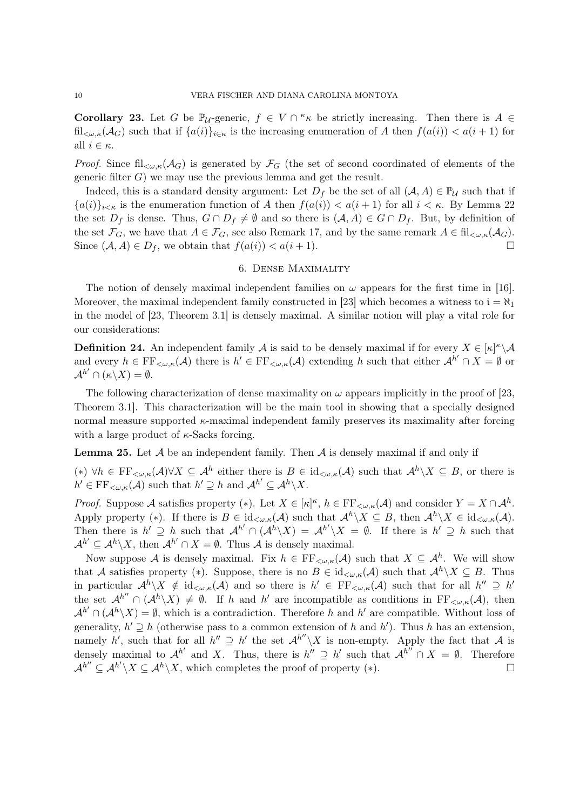Corollary 23. Let G be  $\mathbb{P}_{\mathcal{U}}$ -generic,  $f \in V \cap K_{\kappa}$  be strictly increasing. Then there is  $A \in$ fil<sub> $\langle \omega, \kappa(\mathcal{A}_G) \rangle$ </sub> such that if  $\{a(i)\}_{i \in \kappa}$  is the increasing enumeration of A then  $f(a(i)) < a(i+1)$  for all  $i \in \kappa$ .

*Proof.* Since fil<sub> $\lt \omega,\kappa(\mathcal{A}_G)$  is generated by  $\mathcal{F}_G$  (the set of second coordinated of elements of the</sub> generic filter  $G$ ) we may use the previous lemma and get the result.

Indeed, this is a standard density argument: Let  $D_f$  be the set of all  $(A, A) \in \mathbb{P}_U$  such that if  ${a(i)}_{i\leq \kappa}$  is the enumeration function of A then  $f(a(i)) < a(i+1)$  for all  $i \leq \kappa$ . By Lemma 22 the set  $D_f$  is dense. Thus,  $G \cap D_f \neq \emptyset$  and so there is  $(A, A) \in G \cap D_f$ . But, by definition of the set  $\mathcal{F}_G$ , we have that  $A \in \mathcal{F}_G$ , see also Remark 17, and by the same remark  $A \in \text{fil}_{\leq \omega,\kappa}(\mathcal{A}_G)$ . Since  $(A, A) \in D_f$ , we obtain that  $f(a(i)) < a(i+1)$ .

# 6. Dense Maximality

The notion of densely maximal independent families on  $\omega$  appears for the first time in [16]. Moreover, the maximal independent family constructed in [23] which becomes a witness to  $i = \aleph_1$ in the model of [23, Theorem 3.1] is densely maximal. A similar notion will play a vital role for our considerations:

**Definition 24.** An independent family A is said to be densely maximal if for every  $X \in [\kappa]^{\kappa} \backslash A$ and every  $h \in \mathrm{FF}_{\langle \omega, \kappa]}(\mathcal{A})$  there is  $h' \in \mathrm{FF}_{\langle \omega, \kappa]}(\mathcal{A})$  extending h such that either  $\mathcal{A}^{h'} \cap X = \emptyset$  or  $\mathcal{A}^{h'} \cap (\kappa \backslash X) = \emptyset.$ 

The following characterization of dense maximality on  $\omega$  appears implicitly in the proof of [23, Theorem 3.1]. This characterization will be the main tool in showing that a specially designed normal measure supported  $\kappa$ -maximal independent family preserves its maximality after forcing with a large product of  $\kappa$ -Sacks forcing.

**Lemma 25.** Let  $\mathcal A$  be an independent family. Then  $\mathcal A$  is densely maximal if and only if

(\*)  $\forall h \in \mathrm{FF}_{\leq \omega,\kappa}(\mathcal{A}) \forall X \subseteq \mathcal{A}^h$  either there is  $B \in \mathrm{id}_{\leq \omega,\kappa}(\mathcal{A})$  such that  $\mathcal{A}^h \setminus X \subseteq B$ , or there is  $h' \in \mathrm{FF}_{\lt \omega,\kappa}(\mathcal{A})$  such that  $h' \supseteq h$  and  $\mathcal{A}^{h'} \subseteq \mathcal{A}^h \backslash X$ .

*Proof.* Suppose A satisfies property (\*). Let  $X \in [\kappa]^{\kappa}$ ,  $h \in \mathrm{FF}_{\leq \omega,\kappa}(\mathcal{A})$  and consider  $Y = X \cap \mathcal{A}^h$ . Apply property (\*). If there is  $B \in \mathrm{id}_{\lt \omega,\kappa}(\mathcal{A})$  such that  $\mathcal{A}^h \setminus X \subseteq B$ , then  $\mathcal{A}^h \setminus X \in \mathrm{id}_{\lt \omega,\kappa}(\mathcal{A})$ . Then there is  $h' \supseteq h$  such that  $\mathcal{A}^{h'} \cap (\mathcal{A}^h \setminus X) = \mathcal{A}^{h'} \setminus X = \emptyset$ . If there is  $h' \supseteq h$  such that  $\mathcal{A}^{h'} \subseteq \mathcal{A}^h \setminus X$ , then  $\mathcal{A}^{h'} \cap X = \emptyset$ . Thus  $\mathcal A$  is densely maximal.

Now suppose A is densely maximal. Fix  $h \in \mathrm{FF}_{\leq \omega,\kappa}(\mathcal{A})$  such that  $X \subseteq \mathcal{A}^h$ . We will show that A satisfies property (\*). Suppose, there is no  $B \in id_{\lt \omega,\kappa}(\mathcal{A})$  such that  $\mathcal{A}^h \setminus X \subseteq B$ . Thus in particular  $\mathcal{A}^h \setminus X \notin \mathrm{id}_{\lt \omega,\kappa}(\mathcal{A})$  and so there is  $h' \in \mathrm{FF}_{\lt \omega,\kappa}(\mathcal{A})$  such that for all  $h'' \supseteq h'$ the set  $\mathcal{A}^{h''} \cap (\mathcal{A}^h \backslash X) \neq \emptyset$ . If h and h' are incompatible as conditions in FF<sub> $\lt \omega,\kappa(\mathcal{A})$ , then</sub>  $\mathcal{A}^{h'} \cap (\mathcal{A}^h \backslash X) = \emptyset$ , which is a contradiction. Therefore h and h' are compatible. Without loss of generality,  $h' \supseteq h$  (otherwise pass to a common extension of h and h'). Thus h has an extension, namely h', such that for all  $h'' \supseteq h'$  the set  $\mathcal{A}^{h''}\setminus X$  is non-empty. Apply the fact that  $\mathcal A$  is densely maximal to  $\mathcal{A}^{h'}$  and X. Thus, there is  $h'' \supseteq h'$  such that  $\mathcal{A}^{h''} \cap X = \emptyset$ . Therefore  $\mathcal{A}^{h''} \subseteq \mathcal{A}^{h'} \backslash X \subseteq \mathcal{A}^h \backslash X$ , which completes the proof of property (\*).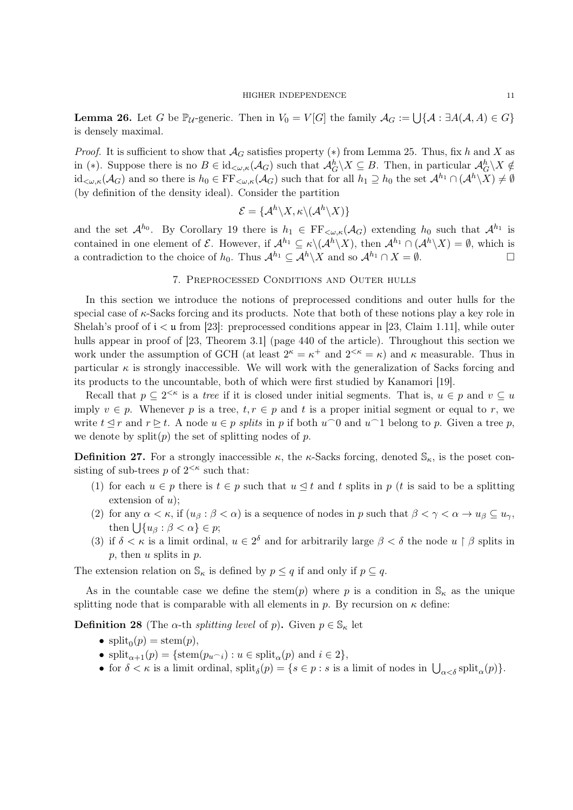**Lemma 26.** Let G be  $\mathbb{P}_{\mathcal{U}}$ -generic. Then in  $V_0 = V[G]$  the family  $\mathcal{A}_G := \bigcup \{ \mathcal{A} : \exists A(\mathcal{A}, A) \in G \}$ is densely maximal.

*Proof.* It is sufficient to show that  $\mathcal{A}_G$  satisfies property (\*) from Lemma 25. Thus, fix h and X as in (\*). Suppose there is no  $B \in \mathrm{id}_{\lt \omega,\kappa}(\mathcal{A}_G)$  such that  $\mathcal{A}_G^h \setminus X \subseteq B$ . Then, in particular  $\mathcal{A}_G^h \setminus X \notin$  $\mathrm{id}_{\lt\omega,\kappa}(\mathcal{A}_G)$  and so there is  $h_0 \in \mathrm{FF}_{\lt\omega,\kappa}(\mathcal{A}_G)$  such that for all  $h_1 \supseteq h_0$  the set  $\mathcal{A}^{h_1} \cap (\mathcal{A}^h \backslash X) \neq \emptyset$ (by definition of the density ideal). Consider the partition

$$
\mathcal{E} = \{ \mathcal{A}^h \backslash X, \kappa \backslash (\mathcal{A}^h \backslash X) \}
$$

and the set  $\mathcal{A}^{h_0}$ . By Corollary 19 there is  $h_1 \in \mathrm{FF}_{\leq \omega,\kappa}(\mathcal{A}_G)$  extending  $h_0$  such that  $\mathcal{A}^{h_1}$  is contained in one element of  $\mathcal E$ . However, if  $\mathcal A^{h_1} \subseteq \kappa \backslash (\mathcal A^h \backslash X)$ , then  $\mathcal A^{h_1} \cap (\mathcal A^h \backslash X) = \emptyset$ , which is a contradiction to the choice of  $h_0$ . Thus  $\mathcal{A}^{h_1} \subseteq \mathcal{A}^h \backslash X$  and so  $\mathcal{A}^{h_1} \cap X = \emptyset$ .

## 7. Preprocessed Conditions and Outer hulls

In this section we introduce the notions of preprocessed conditions and outer hulls for the special case of κ-Sacks forcing and its products. Note that both of these notions play a key role in Shelah's proof of  $i < \mu$  from [23]: preprocessed conditions appear in [23, Claim 1.11], while outer hulls appear in proof of [23, Theorem 3.1] (page 440 of the article). Throughout this section we work under the assumption of GCH (at least  $2^k = \kappa^+$  and  $2^{<\kappa} = \kappa$ ) and  $\kappa$  measurable. Thus in particular  $\kappa$  is strongly inaccessible. We will work with the generalization of Sacks forcing and its products to the uncountable, both of which were first studied by Kanamori [19].

Recall that  $p \subseteq 2^{<\kappa}$  is a *tree* if it is closed under initial segments. That is,  $u \in p$  and  $v \subseteq u$ imply  $v \in p$ . Whenever p is a tree,  $t, r \in p$  and t is a proper initial segment or equal to r, we write  $t \leq r$  and  $r \geq t$ . A node  $u \in p$  splits in p if both  $u \cap 0$  and  $u \cap 1$  belong to p. Given a tree p, we denote by  $split(p)$  the set of splitting nodes of p.

**Definition 27.** For a strongly inaccessible  $\kappa$ , the  $\kappa$ -Sacks forcing, denoted  $\mathbb{S}_{\kappa}$ , is the poset consisting of sub-trees  $p$  of  $2^{<\kappa}$  such that:

- (1) for each  $u \in p$  there is  $t \in p$  such that  $u \leq t$  and t splits in p (t is said to be a splitting extension of  $u$ );
- (2) for any  $\alpha < \kappa$ , if  $(u_\beta : \beta < \alpha)$  is a sequence of nodes in p such that  $\beta < \gamma < \alpha \rightarrow u_\beta \subseteq u_\gamma$ , then  $\bigcup \{u_\beta : \beta < \alpha\} \in p;$
- (3) if  $\delta < \kappa$  is a limit ordinal,  $u \in 2^{\delta}$  and for arbitrarily large  $\beta < \delta$  the node  $u \restriction \beta$  splits in  $p$ , then  $u$  splits in  $p$ .

The extension relation on  $\mathbb{S}_{\kappa}$  is defined by  $p \leq q$  if and only if  $p \subseteq q$ .

As in the countable case we define the stem(p) where p is a condition in  $\mathcal{S}_{\kappa}$  as the unique splitting node that is comparable with all elements in p. By recursion on  $\kappa$  define:

**Definition 28** (The  $\alpha$ -th *splitting level* of p). Given  $p \in \mathbb{S}_{\kappa}$  let

- $split_0(p) = stem(p),$
- split<sub> $\alpha+1(p) = {\text{stem}(p_u\gamma)} : u \in \text{split}_{\alpha}(p)$  and  $i \in 2$ ,</sub>
- for  $\delta < \kappa$  is a limit ordinal,  $\text{split}_{\delta}(p) = \{s \in p : s \text{ is a limit of nodes in } \bigcup_{\alpha < \delta} \text{split}_{\alpha}(p)\}.$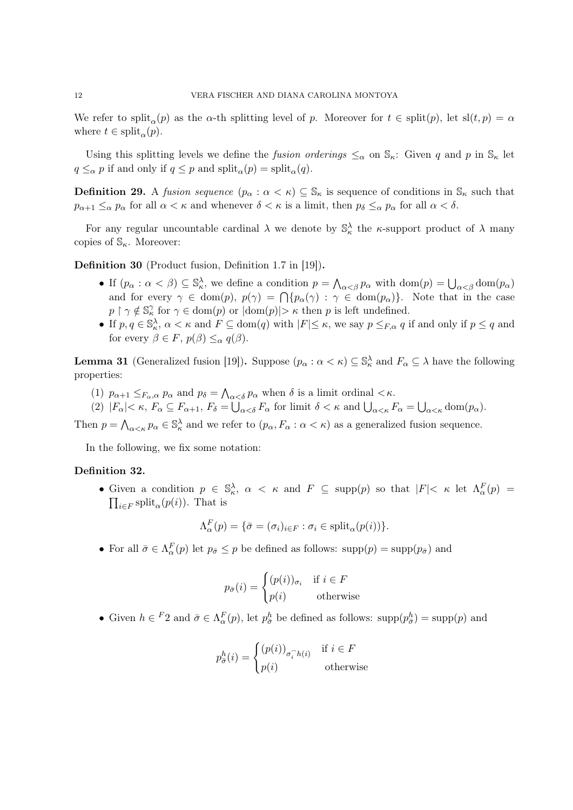We refer to split<sub> $\alpha$ </sub> $(p)$  as the  $\alpha$ -th splitting level of p. Moreover for  $t \in$  split $(p)$ , let sl $(t, p) = \alpha$ where  $t \in \text{split}_{\alpha}(p)$ .

Using this splitting levels we define the fusion orderings  $\leq_\alpha$  on  $\mathbb{S}_\kappa$ : Given q and p in  $\mathbb{S}_\kappa$  let  $q \leq_\alpha p$  if and only if  $q \leq p$  and  $\text{split}_\alpha(p) = \text{split}_\alpha(q)$ .

**Definition 29.** A fusion sequence  $(p_\alpha : \alpha < \kappa) \subseteq \mathbb{S}_\kappa$  is sequence of conditions in  $\mathbb{S}_\kappa$  such that  $p_{\alpha+1} \leq_\alpha p_\alpha$  for all  $\alpha < \kappa$  and whenever  $\delta < \kappa$  is a limit, then  $p_\delta \leq_\alpha p_\alpha$  for all  $\alpha < \delta$ .

For any regular uncountable cardinal  $\lambda$  we denote by  $\mathbb{S}_{\kappa}^{\lambda}$  the  $\kappa$ -support product of  $\lambda$  many copies of  $\mathbb{S}_{\kappa}$ . Moreover:

Definition 30 (Product fusion, Definition 1.7 in [19]).

- If  $(p_\alpha : \alpha < \beta) \subseteq \mathbb{S}_\kappa^{\lambda}$ , we define a condition  $p = \bigwedge_{\alpha < \beta} p_\alpha$  with  $\text{dom}(p) = \bigcup_{\alpha < \beta} \text{dom}(p_\alpha)$ and for every  $\gamma \in \text{dom}(p)$ ,  $p(\gamma) = \bigcap \{p_\alpha(\gamma) : \gamma \in \text{dom}(p_\alpha)\}\$ . Note that in the case  $p \restriction \gamma \notin \mathbb{S}_{\kappa}^{\gamma}$  for  $\gamma \in \text{dom}(p)$  or  $|\text{dom}(p)| > \kappa$  then p is left undefined.
- If  $p, q \in \mathbb{S}_{\kappa}^{\lambda}$ ,  $\alpha < \kappa$  and  $F \subseteq \text{dom}(q)$  with  $|F| \leq \kappa$ , we say  $p \leq_{F,\alpha} q$  if and only if  $p \leq q$  and for every  $\beta \in F$ ,  $p(\beta) \leq_{\alpha} q(\beta)$ .

**Lemma 31** (Generalized fusion [19]). Suppose  $(p_\alpha : \alpha < \kappa) \subseteq \mathbb{S}_\kappa^\lambda$  and  $F_\alpha \subseteq \lambda$  have the following properties:

- (1)  $p_{\alpha+1} \leq_{F_\alpha,\alpha} p_\alpha$  and  $p_\delta = \bigwedge_{\alpha<\delta} p_\alpha$  when  $\delta$  is a limit ordinal  $\lt \kappa$ .
- (2)  $|F_{\alpha}| < \kappa$ ,  $F_{\alpha} \subseteq F_{\alpha+1}$ ,  $F_{\delta} = \bigcup_{\alpha < \delta} F_{\alpha}$  for limit  $\delta < \kappa$  and  $\bigcup_{\alpha < \kappa} F_{\alpha} = \bigcup_{\alpha < \kappa} \text{dom}(p_{\alpha})$ .

Then  $p = \bigwedge_{\alpha < \kappa} p_{\alpha} \in \mathbb{S}_{\kappa}^{\lambda}$  and we refer to  $(p_{\alpha}, F_{\alpha} : \alpha < \kappa)$  as a generalized fusion sequence.

In the following, we fix some notation:

## Definition 32.

• Given a condition  $p \in \mathbb{S}_{\kappa}^{\lambda}$ ,  $\alpha < \kappa$  and  $F \subseteq \text{supp}(p)$  so that  $|F| < \kappa$  let  $\Lambda_{\alpha}^{F}(p) =$  $\prod_{i\in F}$  split<sub> $\alpha$ </sub> $(p(i))$ . That is

$$
\Lambda_{\alpha}^{F}(p) = \{ \bar{\sigma} = (\sigma_i)_{i \in F} : \sigma_i \in \text{split}_{\alpha}(p(i)) \}.
$$

• For all  $\bar{\sigma} \in \Lambda_{\alpha}^{F}(p)$  let  $p_{\bar{\sigma}} \leq p$  be defined as follows: supp $(p) = \text{supp}(p_{\bar{\sigma}})$  and

$$
p_{\bar{\sigma}}(i) = \begin{cases} (p(i))_{\sigma_i} & \text{if } i \in F \\ p(i) & \text{otherwise} \end{cases}
$$

• Given  $h \in {}^F2$  and  $\bar{\sigma} \in \Lambda_\alpha^F(p)$ , let  $p_{\bar{\sigma}}^h$  be defined as follows:  $supp(p_{\bar{\sigma}}^h) = supp(p)$  and

$$
p_{\bar{\sigma}}^h(i) = \begin{cases} (p(i))_{\sigma_i \cap h(i)} & \text{if } i \in F \\ p(i) & \text{otherwise} \end{cases}
$$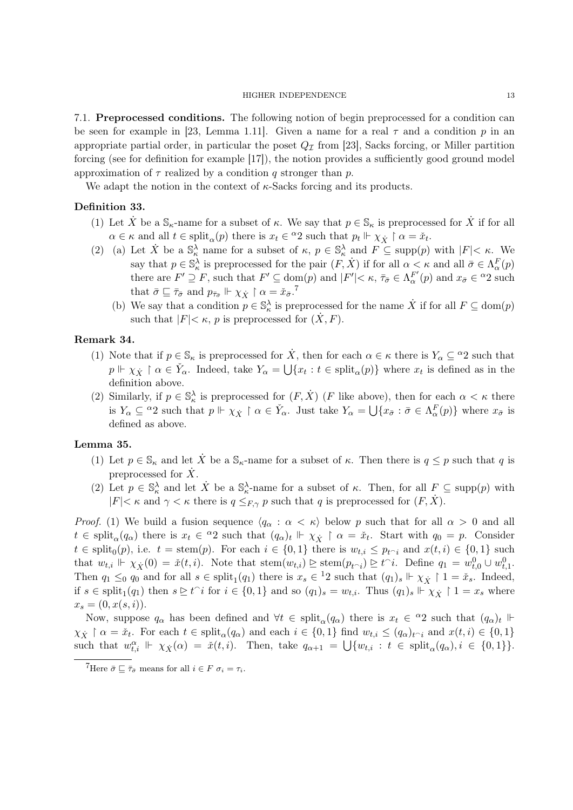7.1. Preprocessed conditions. The following notion of begin preprocessed for a condition can be seen for example in [23, Lemma 1.11]. Given a name for a real  $\tau$  and a condition p in an appropriate partial order, in particular the poset  $Q<sub>\tau</sub>$  from [23], Sacks forcing, or Miller partition forcing (see for definition for example [17]), the notion provides a sufficiently good ground model approximation of  $\tau$  realized by a condition q stronger than p.

We adapt the notion in the context of  $\kappa$ -Sacks forcing and its products.

# Definition 33.

- (1) Let  $\dot{X}$  be a  $\mathbb{S}_{\kappa}$ -name for a subset of  $\kappa$ . We say that  $p \in \mathbb{S}_{\kappa}$  is preprocessed for  $\dot{X}$  if for all  $\alpha \in \kappa$  and all  $t \in \text{split}_{\alpha}(p)$  there is  $x_t \in {}^{\alpha}2$  such that  $p_t \Vdash \chi_{\dot{X}} \upharpoonright \alpha = \check{x}_t$ .
- (2) (a) Let  $\dot{X}$  be a  $\mathbb{S}_{\kappa}^{\lambda}$  name for a subset of  $\kappa$ ,  $p \in \mathbb{S}_{\kappa}^{\lambda}$  and  $F \subseteq \text{supp}(p)$  with  $|F| < \kappa$ . We say that  $p \in \mathbb{S}_{\kappa}^{\lambda}$  is preprocessed for the pair  $(F, \dot{X})$  if for all  $\alpha < \kappa$  and all  $\bar{\sigma} \in \Lambda_{\alpha}^{F}(p)$ there are  $F' \supseteq F$ , such that  $F' \subseteq \text{dom}(p)$  and  $|F'| < \kappa$ ,  $\bar{\tau}_{\bar{\sigma}} \in \Lambda_{\alpha}^{F'}(p)$  and  $x_{\bar{\sigma}} \in {}^{\alpha}2$  such that  $\bar{\sigma} \sqsubseteq \bar{\tau}_{\bar{\sigma}}$  and  $p_{\bar{\tau}_{\bar{\sigma}}} \Vdash \chi_{\dot{X}} \upharpoonright \alpha = \check{x}_{\bar{\sigma}}$ .<sup>7</sup>
	- (b) We say that a condition  $p \in \mathbb{S}_{\kappa}^{\lambda}$  is preprocessed for the name  $\dot{X}$  if for all  $F \subseteq \text{dom}(p)$ such that  $|F| < \kappa$ , p is preprocessed for  $(X, F)$ .

## Remark 34.

- (1) Note that if  $p \in \mathbb{S}_{\kappa}$  is preprocessed for  $\dot{X}$ , then for each  $\alpha \in \kappa$  there is  $Y_{\alpha} \subseteq {}^{\alpha}2$  such that  $p \Vdash \chi_{\dot{X}} \restriction \alpha \in \check{Y}_{\alpha}$ . Indeed, take  $Y_{\alpha} = \bigcup \{x_t : t \in \text{split}_{\alpha}(p)\}\$  where  $x_t$  is defined as in the definition above.
- (2) Similarly, if  $p \in \mathbb{S}_{\kappa}^{\lambda}$  is preprocessed for  $(F, \dot{X})$  (*F* like above), then for each  $\alpha < \kappa$  there is  $Y_{\alpha} \subseteq {}^{\alpha}2$  such that  $p \Vdash \chi_{\dot{X}} \upharpoonright \alpha \in \check{Y}_{\alpha}$ . Just take  $Y_{\alpha} = \bigcup \{x_{\bar{\sigma}} : \bar{\sigma} \in \Lambda_{\alpha}^{F}(p)\}\$  where  $x_{\bar{\sigma}}$  is defined as above.

### Lemma 35.

- (1) Let  $p \in \mathbb{S}_{\kappa}$  and let  $\dot{X}$  be a  $\mathbb{S}_{\kappa}$ -name for a subset of  $\kappa$ . Then there is  $q \leq p$  such that q is preprocessed for  $\dot{X}$ .
- (2) Let  $p \in \mathbb{S}_{\kappa}^{\lambda}$  and let  $\dot{X}$  be a  $\mathbb{S}_{\kappa}^{\lambda}$ -name for a subset of  $\kappa$ . Then, for all  $F \subseteq \text{supp}(p)$  with  $|F| < \kappa$  and  $\gamma < \kappa$  there is  $q \leq_{F,\gamma} p$  such that q is preprocessed for  $(F, X)$ .

*Proof.* (1) We build a fusion sequence  $\langle q_\alpha : \alpha \langle \kappa \rangle$  below p such that for all  $\alpha > 0$  and all  $t \in \text{split}_{\alpha}(q_{\alpha})$  there is  $x_t \in {}^{\alpha}2$  such that  $(q_{\alpha})_t \Vdash \chi_{\dot{X}} \upharpoonright \alpha = \check{x}_t$ . Start with  $q_0 = p$ . Consider  $t \in \text{split}_{0}(p),$  i.e.  $t = \text{stem}(p)$ . For each  $i \in \{0,1\}$  there is  $w_{t,i} \leq p_{t\gamma}$  and  $x(t,i) \in \{0,1\}$  such that  $w_{t,i}$   $\Vdash \chi_X(0) = \check{x}(t,i)$ . Note that  $\text{stem}(w_{t,i}) \trianglerighteq \text{stem}(p_{t\smallfrown i}) \trianglerighteq t\hat{\phantom{\alpha}} i$ . Define  $q_1 = w_{t,0}^0 \cup w_{t,1}^0$ . Then  $q_1 \leq_0 q_0$  and for all  $s \in \text{split}_1(q_1)$  there is  $x_s \in {}^12$  such that  $(q_1)_s \Vdash \chi_{\dot{X}} \upharpoonright 1 = \check{x}_s$ . Indeed, if  $s \in \text{split}_1(q_1)$  then  $s \geq t^i$  for  $i \in \{0,1\}$  and so  $(q_1)_s = w_{t,i}$ . Thus  $(q_1)_s \Vdash \overset{\sim}{\chi}_{\overset{\sim}{X}} \uparrow 1 = x_s$  where  $x_s = (0, x(s, i)).$ 

Now, suppose  $q_\alpha$  has been defined and  $\forall t \in \text{split}_\alpha(q_\alpha)$  there is  $x_t \in {}^\alpha 2$  such that  $(q_\alpha)_t \Vdash$  $\chi_{\dot{X}} \restriction \alpha = \check{x}_t$ . For each  $t \in \text{split}_{\alpha}(q_{\alpha})$  and each  $i \in \{0,1\}$  find  $w_{t,i} \leq (q_{\alpha})_{t \cap i}$  and  $x(t,i) \in \{0,1\}$ such that  $w_{t,i}^{\alpha} \Vdash \chi_{\dot{X}}(\alpha) = \dot{x}(t,i)$ . Then, take  $q_{\alpha+1} = \bigcup \{w_{t,i} : t \in \text{split}_{\alpha}(q_{\alpha}), i \in \{0,1\}\}.$ 

 ${}^{7}$ Here  $\bar{\sigma} \sqsubseteq \bar{\tau}_{\bar{\sigma}}$  means for all  $i \in F$   $\sigma_i = \tau_i$ .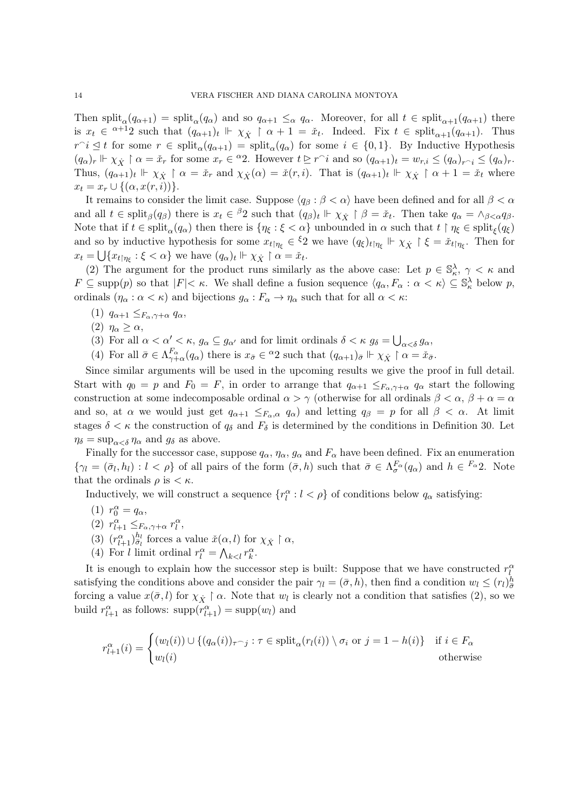Then split<sub>α</sub> $(q_{\alpha+1})$  = split<sub>α</sub> $(q_{\alpha})$  and so  $q_{\alpha+1} \leq_{\alpha} q_{\alpha}$ . Moreover, for all  $t \in$  split<sub>α+1</sub> $(q_{\alpha+1})$  there is  $x_t \in \alpha+1$  such that  $(q_{\alpha+1})_t \Vdash \chi_{\dot{X}} \upharpoonright \alpha+1 = \check{x}_t$ . Indeed. Fix  $t \in \text{split}_{\alpha+1}(q_{\alpha+1})$ . Thus  $r \in \mathrm{split}_{\alpha}(q_{\alpha+1}) = \mathrm{split}_{\alpha}(q_{\alpha})$  for some  $i \in \{0,1\}$ . By Inductive Hypothesis  $(q_{\alpha})_r \Vdash \chi_{\dot{X}} \upharpoonright \alpha = \check{x}_r$  for some  $x_r \in {}^{\alpha}2$ . However  $t \trianglerighteq r^i$  and so  $(q_{\alpha+1})_t = w_{r,i} \leq (q_{\alpha})_{r^i} \leq (q_{\alpha})_r$ . Thus,  $(q_{\alpha+1})_t \Vdash \chi_{\dot{X}} \upharpoonright \alpha = \check{x}_r$  and  $\chi_{\dot{X}}(\alpha) = \check{x}(r, i)$ . That is  $(q_{\alpha+1})_t \Vdash \chi_{\dot{X}} \upharpoonright \alpha + 1 = \check{x}_t$  where  $x_t = x_r \cup \{(\alpha, x(r, i))\}.$ 

It remains to consider the limit case. Suppose  $\langle q_\beta : \beta < \alpha \rangle$  have been defined and for all  $\beta < \alpha$ and all  $t \in \text{split}_{\beta}(q_{\beta})$  there is  $x_t \in {}^{\beta}2$  such that  $(q_{\beta})_t \Vdash \chi_{\dot{X}} \upharpoonright \beta = \check{x}_t$ . Then take  $q_{\alpha} = \wedge_{\beta < \alpha} q_{\beta}$ . Note that if  $t \in \text{split}_{\alpha}(q_{\alpha})$  then there is  $\{\eta_{\xi} : \xi < \alpha\}$  unbounded in  $\alpha$  such that  $t \restriction \eta_{\xi} \in \text{split}_{\xi}(q_{\xi})$ and so by inductive hypothesis for some  $x_{t\uparrow \eta_{\xi}} \in {}^{\xi}2$  we have  $(q_{\xi})_{t\uparrow \eta_{\xi}} \Vdash \chi_{\dot{X}} \uparrow \xi = \check{x}_{t\uparrow \eta_{\xi}}$ . Then for  $x_t = \bigcup \{x_{t \mid \eta_{\xi}} : \xi < \alpha\}$  we have  $(q_{\alpha})_t \Vdash \chi_{\dot{X}} \upharpoonright \alpha = \check{x}_t$ .

(2) The argument for the product runs similarly as the above case: Let  $p \in \mathbb{S}_{\kappa}^{\lambda}, \gamma < \kappa$  and  $F \subseteq \text{supp}(p)$  so that  $|F| < \kappa$ . We shall define a fusion sequence  $\langle q_\alpha, F_\alpha : \alpha < \kappa \rangle \subseteq \mathbb{S}_\kappa^{\lambda}$  below p, ordinals  $(\eta_\alpha : \alpha < \kappa)$  and bijections  $g_\alpha : F_\alpha \to \eta_\alpha$  such that for all  $\alpha < \kappa$ :

- (1)  $q_{\alpha+1} \leq_{F_\alpha,\gamma+\alpha} q_\alpha$ ,
- (2)  $\eta_{\alpha} \geq \alpha$ ,
- (3) For all  $\alpha < \alpha' < \kappa$ ,  $g_{\alpha} \subseteq g_{\alpha'}$  and for limit ordinals  $\delta < \kappa$   $g_{\delta} = \bigcup_{\alpha < \delta} g_{\alpha}$ ,
- (4) For all  $\bar{\sigma} \in \Lambda_{\gamma+\alpha}^{F_\alpha}(q_\alpha)$  there is  $x_{\bar{\sigma}} \in {}^{\alpha}2$  such that  $(q_{\alpha+1})_{\bar{\sigma}} \Vdash \chi_{\dot{X}} \upharpoonright \alpha = \check{x}_{\bar{\sigma}}$ .

Since similar arguments will be used in the upcoming results we give the proof in full detail. Start with  $q_0 = p$  and  $F_0 = F$ , in order to arrange that  $q_{\alpha+1} \leq_{F_\alpha, \gamma+\alpha} q_\alpha$  start the following construction at some indecomposable ordinal  $\alpha > \gamma$  (otherwise for all ordinals  $\beta < \alpha$ ,  $\beta + \alpha = \alpha$ and so, at  $\alpha$  we would just get  $q_{\alpha+1} \leq_{F_\alpha,\alpha} q_\alpha$  and letting  $q_\beta = p$  for all  $\beta < \alpha$ . At limit stages  $\delta < \kappa$  the construction of  $q_{\delta}$  and  $F_{\delta}$  is determined by the conditions in Definition 30. Let  $\eta_{\delta} = \sup_{\alpha < \delta} \eta_{\alpha}$  and  $g_{\delta}$  as above.

Finally for the successor case, suppose  $q_{\alpha}$ ,  $\eta_{\alpha}$ ,  $g_{\alpha}$  and  $F_{\alpha}$  have been defined. Fix an enumeration  $\{\gamma_l = (\bar{\sigma}_l, h_l) : l < \rho\}$  of all pairs of the form  $(\bar{\sigma}, h)$  such that  $\bar{\sigma} \in \Lambda_{\sigma}^{F_{\alpha}}(q_{\alpha})$  and  $h \in {}^{F_{\alpha}}2$ . Note that the ordinals  $\rho$  is  $\lt \kappa$ .

Inductively, we will construct a sequence  $\{r_l^{\alpha}: l < \rho\}$  of conditions below  $q_{\alpha}$  satisfying:

- (1)  $r_0^{\alpha} = q_{\alpha}$ ,
- (2)  $r^{\alpha}_{l+1} \leq_{F_{\alpha}, \gamma+\alpha} r^{\alpha}_{l}$ ,
- (3)  $(r^{\alpha}_{l+1})^{\hbar_l}_{\bar{\sigma}_l}$  forces a value  $\check{x}(\alpha, l)$  for  $\chi_{\dot{X}} \upharpoonright \alpha$ ,
- (4) For *l* limit ordinal  $r_l^{\alpha} = \bigwedge_{k < l} r_k^{\alpha}$ .

It is enough to explain how the successor step is built: Suppose that we have constructed  $r_l^{\alpha}$ satisfying the conditions above and consider the pair  $\gamma_l = (\bar{\sigma}, h)$ , then find a condition  $w_l \le (r_l)_{\bar{\sigma}}^h$ forcing a value  $x(\bar{\sigma}, l)$  for  $\chi_{\dot{X}} \restriction \alpha$ . Note that  $w_l$  is clearly not a condition that satisfies (2), so we build  $r_{l+1}^{\alpha}$  as follows:  $\text{supp}(r_{l+1}^{\alpha}) = \text{supp}(w_l)$  and

$$
r_{l+1}^{\alpha}(i) = \begin{cases} (w_l(i)) \cup \{ (q_{\alpha}(i))_{\tau \cap j} : \tau \in \text{split}_{\alpha}(r_l(i)) \setminus \sigma_i \text{ or } j = 1 - h(i) \} & \text{if } i \in F_{\alpha} \\ w_l(i) & \text{otherwise} \end{cases}
$$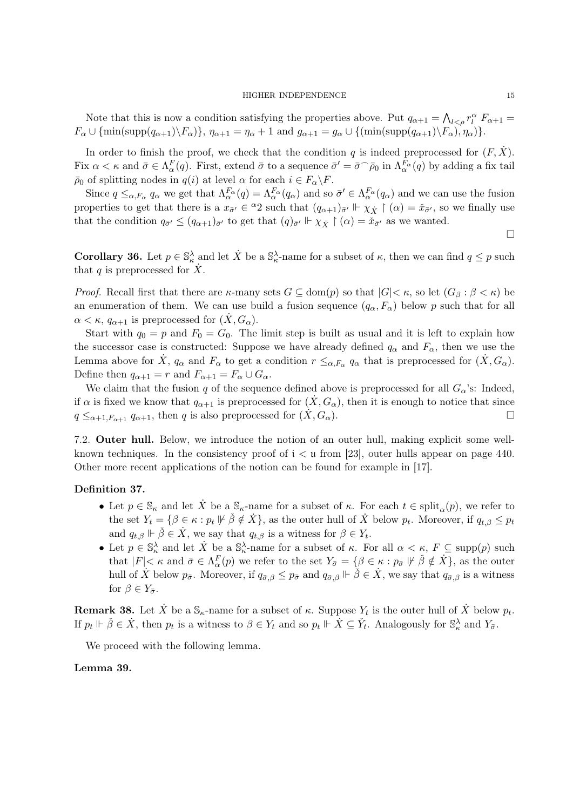Note that this is now a condition satisfying the properties above. Put  $q_{\alpha+1} = \bigwedge_{l \leq \rho} r_l^{\alpha} F_{\alpha+1} =$  $F_{\alpha} \cup \{\min(\text{supp}(q_{\alpha+1})\backslash F_{\alpha})\}, \eta_{\alpha+1} = \eta_{\alpha} + 1 \text{ and } g_{\alpha+1} = g_{\alpha} \cup \{(\min(\text{supp}(q_{\alpha+1})\backslash F_{\alpha}), \eta_{\alpha})\}.$ 

In order to finish the proof, we check that the condition q is indeed preprocessed for  $(F, \dot{X})$ . Fix  $\alpha < \kappa$  and  $\bar{\sigma} \in \Lambda_{\alpha}^{F}(q)$ . First, extend  $\bar{\sigma}$  to a sequence  $\bar{\sigma}' = \bar{\sigma} \cap \bar{\rho}_0$  in  $\Lambda_{\alpha}^{F_{\alpha}}(q)$  by adding a fix tail  $\bar{\rho}_0$  of splitting nodes in  $q(i)$  at level  $\alpha$  for each  $i \in F_\alpha \backslash F$ .

Since  $q \leq_{\alpha,F_\alpha} q_\alpha$  we get that  $\Lambda_\alpha^{F_\alpha}(q) = \Lambda_\alpha^{F_\alpha}(q_\alpha)$  and so  $\bar{\sigma}' \in \Lambda_\alpha^{F_\alpha}(q_\alpha)$  and we can use the fusion properties to get that there is a  $x_{\bar{\sigma}'} \in {}^{\alpha}2$  such that  $(q_{\alpha+1})_{\bar{\sigma}'} \Vdash \chi_{\dot{X}} \upharpoonright (\alpha) = \check{x}_{\bar{\sigma}'},$  so we finally use that the condition  $q_{\bar{\sigma}'} \leq (q_{\alpha+1})_{\bar{\sigma}'}$  to get that  $(q)_{\bar{\sigma}'} \Vdash \chi_{\dot{X}} \restriction (\alpha) = \tilde{x}_{\bar{\sigma}'}$  as we wanted.

□

**Corollary 36.** Let  $p \in \mathbb{S}_{\kappa}^{\lambda}$  and let  $\dot{X}$  be a  $\mathbb{S}_{\kappa}^{\lambda}$ -name for a subset of  $\kappa$ , then we can find  $q \leq p$  such that q is preprocessed for  $\dot{X}$ .

*Proof.* Recall first that there are  $\kappa$ -many sets  $G \subseteq \text{dom}(p)$  so that  $|G| < \kappa$ , so let  $(G_{\beta} : \beta < \kappa)$  be an enumeration of them. We can use build a fusion sequence  $(q_{\alpha}, F_{\alpha})$  below p such that for all  $\alpha < \kappa$ ,  $q_{\alpha+1}$  is preprocessed for  $(\dot{X}, G_{\alpha})$ .

Start with  $q_0 = p$  and  $F_0 = G_0$ . The limit step is built as usual and it is left to explain how the successor case is constructed: Suppose we have already defined  $q_{\alpha}$  and  $F_{\alpha}$ , then we use the Lemma above for  $\dot{X}$ ,  $q_{\alpha}$  and  $F_{\alpha}$  to get a condition  $r \leq_{\alpha,F_{\alpha}} q_{\alpha}$  that is preprocessed for  $(\dot{X}, G_{\alpha})$ . Define then  $q_{\alpha+1} = r$  and  $F_{\alpha+1} = F_{\alpha} \cup G_{\alpha}$ .

We claim that the fusion q of the sequence defined above is preprocessed for all  $G_{\alpha}$ 's: Indeed, if  $\alpha$  is fixed we know that  $q_{\alpha+1}$  is preprocessed for  $(\dot{X}, G_{\alpha})$ , then it is enough to notice that since  $q \leq_{\alpha+1,F_{\alpha+1}} q_{\alpha+1}$ , then q is also preprocessed for  $(X, G_{\alpha})$ .  $\alpha$ ).

7.2. Outer hull. Below, we introduce the notion of an outer hull, making explicit some wellknown techniques. In the consistency proof of  $i < \mu$  from [23], outer hulls appear on page 440. Other more recent applications of the notion can be found for example in [17].

## Definition 37.

- Let  $p \in \mathbb{S}_{\kappa}$  and let X<sup>t</sup> be a  $\mathbb{S}_{\kappa}$ -name for a subset of  $\kappa$ . For each  $t \in \text{split}_{\alpha}(p)$ , we refer to the set  $Y_t = \{\beta \in \kappa : p_t \not\Vdash \check{\beta} \notin \dot{X}\},\$ as the outer hull of  $\dot{X}$  below  $p_t$ . Moreover, if  $q_{t,\beta} \leq p_t$ and  $q_{t,\beta} \Vdash \check{\beta} \in \dot{X}$ , we say that  $q_{t,\beta}$  is a witness for  $\beta \in Y_t$ .
- Let  $p \in \mathbb{S}_{\kappa}^{\lambda}$  and let  $\dot{X}$  be a  $\mathbb{S}_{\kappa}^{\lambda}$ -name for a subset of  $\kappa$ . For all  $\alpha < \kappa$ ,  $F \subseteq \text{supp}(p)$  such that  $|F| < \kappa$  and  $\bar{\sigma} \in \Lambda_{\alpha}^{F}(p)$  we refer to the set  $Y_{\bar{\sigma}} = \{\beta \in \kappa : p_{\bar{\sigma}} \not\Vdash \check{\beta} \notin \dot{X}\}\)$ , as the outer hull of  $\dot{X}$  below  $p_{\bar{\sigma}}$ . Moreover, if  $q_{\bar{\sigma},\beta} \leq p_{\bar{\sigma}}$  and  $q_{\bar{\sigma},\beta} \Vdash \check{\beta} \in \dot{X}$ , we say that  $q_{\bar{\sigma},\beta}$  is a witness for  $\beta \in Y_{\bar{\sigma}}$ .

**Remark 38.** Let  $\dot{X}$  be a  $\mathbb{S}_{\kappa}$ -name for a subset of  $\kappa$ . Suppose  $Y_t$  is the outer hull of  $\dot{X}$  below  $p_t$ . If  $p_t \Vdash \check{\beta} \in \dot{X}$ , then  $p_t$  is a witness to  $\beta \in Y_t$  and so  $p_t \Vdash \dot{X} \subseteq \check{Y}_t$ . Analogously for  $\mathbb{S}_{\kappa}^{\lambda}$  and  $Y_{\bar{\sigma}}$ .

We proceed with the following lemma.

## Lemma 39.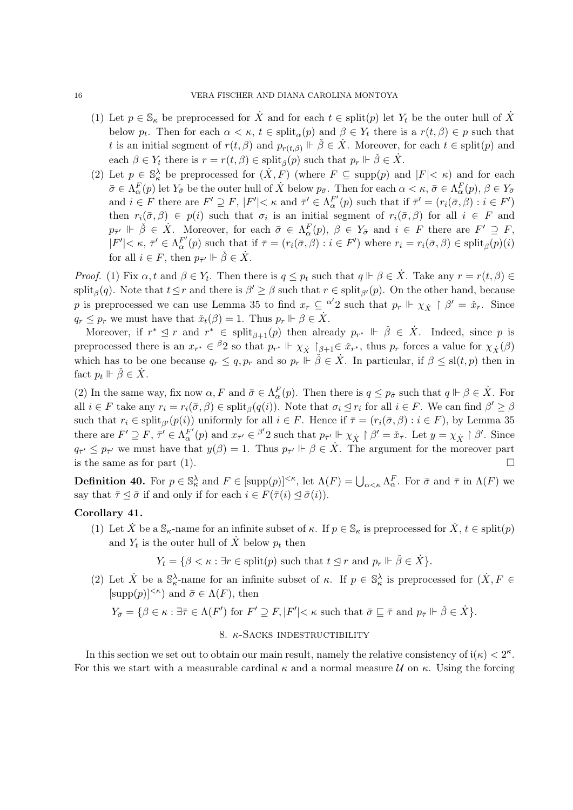- (1) Let  $p \in \mathbb{S}_{\kappa}$  be preprocessed for  $\dot{X}$  and for each  $t \in \text{split}(p)$  let  $Y_t$  be the outer hull of  $\dot{X}$ below  $p_t$ . Then for each  $\alpha < \kappa$ ,  $t \in \text{split}_{\alpha}(p)$  and  $\beta \in Y_t$  there is a  $r(t, \beta) \in p$  such that t is an initial segment of  $r(t, \beta)$  and  $p_{r(t, \beta)} \Vdash \check{\beta} \in \dot{X}$ . Moreover, for each  $t \in \text{split}(p)$  and each  $\beta \in Y_t$  there is  $r = r(t, \beta) \in \text{split}_{\beta}(p)$  such that  $p_r \Vdash \check{\beta} \in \dot{X}$ .
- (2) Let  $p \in \mathbb{S}_{\kappa}^{\lambda}$  be preprocessed for  $(X, F)$  (where  $F \subseteq \text{supp}(p)$  and  $|F| < \kappa$ ) and for each  $\bar{\sigma} \in \Lambda_{\alpha}^{F}(p)$  let  $Y_{\bar{\sigma}}$  be the outer hull of  $\dot{X}$  below  $p_{\bar{\sigma}}$ . Then for each  $\alpha < \kappa$ ,  $\bar{\sigma} \in \Lambda_{\alpha}^{F}(p)$ ,  $\beta \in Y_{\bar{\sigma}}$ and  $i \in F$  there are  $F' \supseteq F$ ,  $|F'| < \kappa$  and  $\bar{\tau}' \in \Lambda_{\alpha}^{F'}(p)$  such that if  $\bar{\tau}' = (r_i(\bar{\sigma}, \beta) : i \in F')$ then  $r_i(\bar{\sigma},\beta) \in p(i)$  such that  $\sigma_i$  is an initial segment of  $r_i(\bar{\sigma},\beta)$  for all  $i \in F$  and  $p_{\bar{\tau}'} \Vdash \check{\beta} \in \dot{X}$ . Moreover, for each  $\bar{\sigma} \in \Lambda_{\alpha}^F(p)$ ,  $\beta \in Y_{\bar{\sigma}}$  and  $i \in F$  there are  $F' \supseteq F$ ,  $|F'| < \kappa$ ,  $\bar{\tau}' \in \Lambda_{\alpha}^{F'}(p)$  such that if  $\bar{\tau} = (r_i(\bar{\sigma}, \beta) : i \in F')$  where  $r_i = r_i(\bar{\sigma}, \beta) \in \text{split}_{\beta}(p)(i)$ for all  $i \in F$ , then  $p_{\bar{\tau}'} \Vdash \check{\beta} \in \dot{X}$ .

*Proof.* (1) Fix  $\alpha$ , t and  $\beta \in Y_t$ . Then there is  $q \leq p_t$  such that  $q \Vdash \beta \in \dot{X}$ . Take any  $r = r(t, \beta) \in Y_t$ . split<sub>β</sub>(q). Note that  $t \leq r$  and there is  $\beta' \geq \beta$  such that  $r \in \text{split}_{\beta'}(p)$ . On the other hand, because p is preprocessed we can use Lemma 35 to find  $x_r \subseteq \alpha'^2$  such that  $p_r \Vdash \chi_{\dot{X}} \restriction \beta' = \dot{x}_r$ . Since  $q_r \leq p_r$  we must have that  $\check{x}_t(\beta) = 1$ . Thus  $p_r \Vdash \beta \in \dot{X}$ .

Moreover, if  $r^* \leq r$  and  $r^* \in \text{split}_{\beta+1}(p)$  then already  $p_{r^*} \Vdash \check{\beta} \in \dot{X}$ . Indeed, since p is preprocessed there is an  $x_{r^*} \in {}^{\beta}2$  so that  $p_{r^*} \Vdash \chi_{\dot{X}} \upharpoonright_{\beta+1} \in \check{x}_{r^*}$ , thus  $p_r$  forces a value for  $\chi_{\dot{X}}(\beta)$ which has to be one because q<sup>r</sup> ≤ q, p<sup>r</sup> and so p<sup>r</sup> ⊩ βˇ ∈ X˙ . In particular, if β ≤ sl(t, p) then in fact  $p_t \Vdash \check{\beta} \in \dot{X}$ .

(2) In the same way, fix now  $\alpha, F$  and  $\bar{\sigma} \in \Lambda_{\alpha}^{F}(p)$ . Then there is  $q \leq p_{\bar{\sigma}}$  such that  $q \Vdash \beta \in \dot{X}$ . For all  $i \in F$  take any  $r_i = r_i(\bar{\sigma}, \beta) \in \text{split}_{\beta}(q(i))$ . Note that  $\sigma_i \leq r_i$  for all  $i \in F$ . We can find  $\beta' \geq \beta$ such that  $r_i \in \text{split}_{\beta'}(p(i))$  uniformly for all  $i \in F$ . Hence if  $\overline{\tau} = (r_i(\overline{\sigma}, \beta) : i \in F)$ , by Lemma 35 there are  $F' \supseteq F$ ,  $\bar{\tau}' \in \Lambda_{\alpha}^{F'}(p)$  and  $x_{\bar{\tau}'} \in {\beta'}2$  such that  $p_{\bar{\tau}'} \Vdash \chi_{\dot{X}} \upharpoonright {\beta'} = \check{x}_{\bar{\tau}}$ . Let  $y = \chi_{\dot{X}} \upharpoonright {\beta'}$ . Since  $q_{\bar{\tau}} \leq p_{\bar{\tau}}$  we must have that  $y(\beta) = 1$ . Thus  $p_{\bar{\tau}} \Vdash \beta \in \dot{X}$ . The argument for the moreover part is the same as for part (1).  $\Box$ 

**Definition 40.** For  $p \in \mathbb{S}_{\kappa}^{\lambda}$  and  $F \in [\text{supp}(p)]^{<\kappa}$ , let  $\Lambda(F) = \bigcup_{\alpha < \kappa} \Lambda_{\alpha}^F$ . For  $\bar{\sigma}$  and  $\bar{\tau}$  in  $\Lambda(F)$  we say that  $\bar{\tau} \leq \bar{\sigma}$  if and only if for each  $i \in F(\bar{\tau}(i) \leq \bar{\sigma}(i)).$ 

## Corollary 41.

(1) Let  $\dot{X}$  be a  $\mathbb{S}_{\kappa}$ -name for an infinite subset of  $\kappa$ . If  $p \in \mathbb{S}_{\kappa}$  is preprocessed for  $\dot{X}$ ,  $t \in \text{split}(p)$ and  $Y_t$  is the outer hull of  $\dot{X}$  below  $p_t$  then

$$
Y_t = \{ \beta < \kappa : \exists r \in \text{split}(p) \text{ such that } t \leq r \text{ and } p_r \Vdash \check{\beta} \in \dot{X} \}.
$$

(2) Let  $\dot{X}$  be a  $\mathbb{S}_{\kappa}^{\lambda}$ -name for an infinite subset of  $\kappa$ . If  $p \in \mathbb{S}_{\kappa}^{\lambda}$  is preprocessed for  $(\dot{X}, F \in$  $[\text{supp}(p)]^{<\kappa}$  and  $\bar{\sigma} \in \Lambda(F)$ , then

$$
Y_{\bar{\sigma}} = \{ \beta \in \kappa : \exists \bar{\tau} \in \Lambda(F') \text{ for } F' \supseteq F, |F'| < \kappa \text{ such that } \bar{\sigma} \sqsubseteq \bar{\tau} \text{ and } p_{\bar{\tau}} \Vdash \check{\beta} \in \dot{X} \}.
$$

## 8. κ-Sacks indestructibility

In this section we set out to obtain our main result, namely the relative consistency of  $i(\kappa) < 2^{\kappa}$ . For this we start with a measurable cardinal  $\kappa$  and a normal measure  $\mathcal U$  on  $\kappa$ . Using the forcing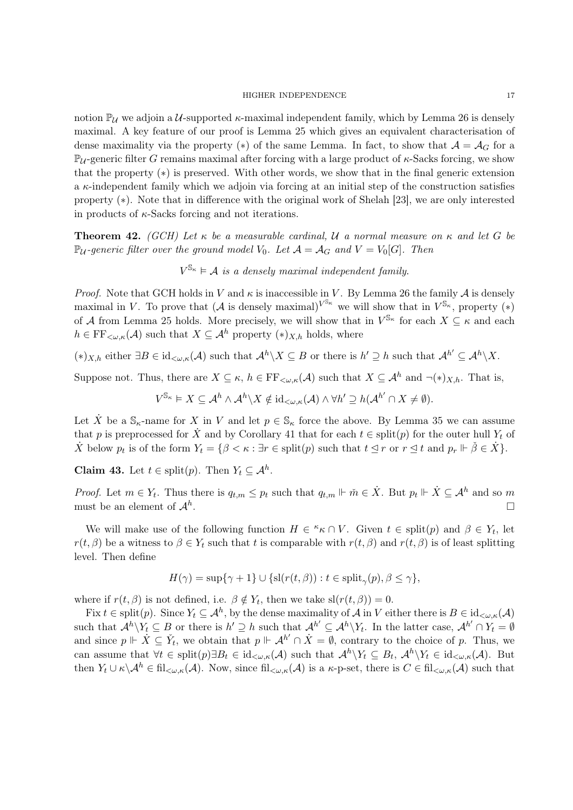notion  $\mathbb{P}_{\mathcal{U}}$  we adjoin a U-supported  $\kappa$ -maximal independent family, which by Lemma 26 is densely maximal. A key feature of our proof is Lemma 25 which gives an equivalent characterisation of dense maximality via the property (\*) of the same Lemma. In fact, to show that  $\mathcal{A} = \mathcal{A}_G$  for a  $\mathbb{P}_{\mathcal{U}}$ -generic filter G remains maximal after forcing with a large product of  $\kappa$ -Sacks forcing, we show that the property (∗) is preserved. With other words, we show that in the final generic extension a  $\kappa$ -independent family which we adjoin via forcing at an initial step of the construction satisfies property (∗). Note that in difference with the original work of Shelah [23], we are only interested in products of  $\kappa$ -Sacks forcing and not iterations.

**Theorem 42.** (GCH) Let  $\kappa$  be a measurable cardinal, U a normal measure on  $\kappa$  and let G be  $\mathbb{P}_{\mathcal{U}}$ -generic filter over the ground model  $V_0$ . Let  $\mathcal{A} = \mathcal{A}_G$  and  $V = V_0[G]$ . Then

 $V^{\mathbb{S}_{\kappa}} \models \mathcal{A}$  is a densely maximal independent family.

*Proof.* Note that GCH holds in V and  $\kappa$  is inaccessible in V. By Lemma 26 the family A is densely maximal in V. To prove that  $(\mathcal{A}$  is densely maximal)<sup> $V^{\mathbb{S}_{\kappa}}$ </sup> we will show that in  $V^{\mathbb{S}_{\kappa}}$ , property  $(*)$ of A from Lemma 25 holds. More precisely, we will show that in  $V^{\mathbb{S}_{\kappa}}$  for each  $X \subseteq \kappa$  and each  $h \in \mathrm{FF}_{\leq \omega, \kappa}(\mathcal{A})$  such that  $X \subseteq \mathcal{A}^h$  property  $(*)_{X,h}$  holds, where

 $(*)_{X,h}$  either  $\exists B \in id_{\lt \omega,\kappa}(\mathcal{A})$  such that  $\mathcal{A}^h \setminus X \subseteq B$  or there is  $h' \supseteq h$  such that  $\mathcal{A}^{h'} \subseteq \mathcal{A}^h \setminus X$ .

Suppose not. Thus, there are  $X \subseteq \kappa$ ,  $h \in \mathrm{FF}_{\leq \omega,\kappa}(\mathcal{A})$  such that  $X \subseteq \mathcal{A}^h$  and  $\neg(\ast)_{X,h}$ . That is,

$$
V^{\mathbb{S}_{\kappa}} \models X \subseteq \mathcal{A}^h \wedge \mathcal{A}^h \backslash X \notin \mathrm{id}_{<\omega,\kappa}(\mathcal{A}) \wedge \forall h' \supseteq h(\mathcal{A}^{h'} \cap X \neq \emptyset).
$$

Let  $\dot{X}$  be a  $\mathbb{S}_{\kappa}$ -name for X in V and let  $p \in \mathbb{S}_{\kappa}$  force the above. By Lemma 35 we can assume that p is preprocessed for  $\dot{X}$  and by Corollary 41 that for each  $t \in \text{split}(p)$  for the outer hull  $Y_t$  of  $\dot{X}$  below  $p_t$  is of the form  $Y_t = \{\beta < \kappa : \exists r \in \text{split}(p) \text{ such that } t \leq r \text{ or } r \leq t \text{ and } p_r \Vdash \check{\beta} \in \dot{X}\}.$ 

**Claim 43.** Let  $t \in \text{split}(p)$ . Then  $Y_t \subseteq \mathcal{A}^h$ .

*Proof.* Let  $m \in Y_t$ . Thus there is  $q_{t,m} \leq p_t$  such that  $q_{t,m} \Vdash \tilde{m} \in \dot{X}$ . But  $p_t \Vdash \dot{X} \subseteq \mathcal{A}^h$  and so m must be an element of  $\mathcal{A}^h$ . . □

We will make use of the following function  $H \in \kappa \cap V$ . Given  $t \in \text{split}(p)$  and  $\beta \in Y_t$ , let  $r(t, \beta)$  be a witness to  $\beta \in Y_t$  such that t is comparable with  $r(t, \beta)$  and  $r(t, \beta)$  is of least splitting level. Then define

$$
H(\gamma) = \sup\{\gamma + 1\} \cup \{sl(r(t, \beta)) : t \in \text{split}_{\gamma}(p), \beta \le \gamma\},\
$$

where if  $r(t, \beta)$  is not defined, i.e.  $\beta \notin Y_t$ , then we take  $\text{sl}(r(t, \beta)) = 0$ .

Fix  $t \in \text{split}(p)$ . Since  $Y_t \subseteq \mathcal{A}^h$ , by the dense maximality of  $\mathcal{A}$  in V either there is  $B \in \text{id}_{\lt \omega,\kappa}(\mathcal{A})$ such that  $\mathcal{A}^h \backslash Y_t \subseteq B$  or there is  $h' \supseteq h$  such that  $\mathcal{A}^{h'} \subseteq \mathcal{A}^h \backslash Y_t$ . In the latter case,  $\mathcal{A}^{h'} \cap Y_t = \emptyset$ and since  $p \Vdash \dot{X} \subseteq \check{Y}_t$ , we obtain that  $p \Vdash \mathcal{A}^{h'} \cap \dot{X} = \emptyset$ , contrary to the choice of p. Thus, we can assume that  $\forall t \in \text{split}(p) \exists B_t \in \text{id}_{\lt \omega,\kappa}(\mathcal{A})$  such that  $\mathcal{A}^h \backslash Y_t \subseteq B_t$ ,  $\mathcal{A}^h \backslash Y_t \in \text{id}_{\lt \omega,\kappa}(\mathcal{A})$ . But then  $Y_t \cup \kappa \setminus \mathcal{A}^h \in \text{fil}_{\leq \omega,\kappa}(\mathcal{A})$ . Now, since  $\text{fil}_{\leq \omega,\kappa}(\mathcal{A})$  is a  $\kappa$ -p-set, there is  $C \in \text{fil}_{\leq \omega,\kappa}(\mathcal{A})$  such that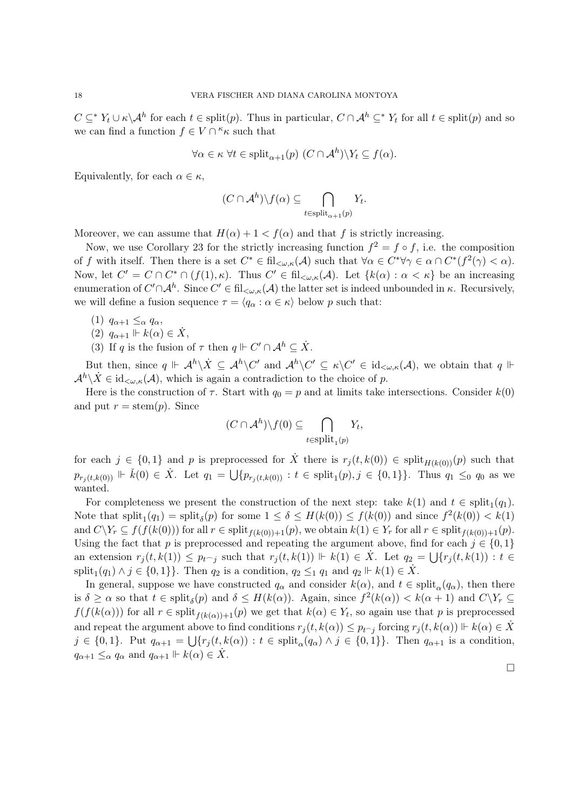$C \subseteq^* Y_t \cup \kappa \backslash A^h$  for each  $t \in \text{split}(p)$ . Thus in particular,  $C \cap A^h \subseteq^* Y_t$  for all  $t \in \text{split}(p)$  and so we can find a function  $f \in V \cap \kappa_{\kappa}$  such that

$$
\forall \alpha \in \kappa \,\,\forall t \in \mathrm{split}_{\alpha+1}(p) \,\,(C \cap \mathcal{A}^h) \backslash Y_t \subseteq f(\alpha).
$$

Equivalently, for each  $\alpha \in \kappa$ ,

$$
(C \cap \mathcal{A}^h) \backslash f(\alpha) \subseteq \bigcap_{t \in \text{split}_{\alpha+1}(p)} Y_t.
$$

Moreover, we can assume that  $H(\alpha) + 1 < f(\alpha)$  and that f is strictly increasing.

Now, we use Corollary 23 for the strictly increasing function  $f^2 = f \circ f$ , i.e. the composition of f with itself. Then there is a set  $C^* \in \text{fil}_{\leq \omega,\kappa}(\mathcal{A})$  such that  $\forall \alpha \in C^* \forall \gamma \in \alpha \cap C^*(f^2(\gamma) < \alpha)$ . Now, let  $C' = C \cap C^* \cap (f(1), \kappa)$ . Thus  $C' \in fil_{\leq \omega, \kappa}(\mathcal{A})$ . Let  $\{k(\alpha) : \alpha < \kappa\}$  be an increasing enumeration of  $C' \cap A^h$ . Since  $C' \in \text{fil}_{\lt \omega,\kappa}(\mathcal{A})$  the latter set is indeed unbounded in  $\kappa$ . Recursively, we will define a fusion sequence  $\tau = \langle q_\alpha : \alpha \in \kappa \rangle$  below p such that:

- (1)  $q_{\alpha+1} \leq_\alpha q_\alpha$ ,
- (2)  $q_{\alpha+1} \Vdash k(\alpha) \in \dot{X}$ ,
- (3) If q is the fusion of  $\tau$  then  $q \Vdash C' \cap A^h \subseteq \dot{X}$ .

But then, since  $q \Vdash \mathcal{A}^h \setminus \dot{X} \subseteq \mathcal{A}^h \setminus C'$  and  $\mathcal{A}^h \setminus C' \subseteq \kappa \setminus C' \in id_{\lt \omega,\kappa}(\mathcal{A})$ , we obtain that  $q \Vdash$  $\mathcal{A}^h \backslash \dot{X} \in id_{\lt \omega,\kappa}(\mathcal{A})$ , which is again a contradiction to the choice of p.

Here is the construction of  $\tau$ . Start with  $q_0 = p$  and at limits take intersections. Consider  $k(0)$ and put  $r = \operatorname{stem}(p)$ . Since

$$
(C \cap \mathcal{A}^h) \backslash f(0) \subseteq \bigcap_{t \in \text{split}_1(p)} Y_t,
$$

for each  $j \in \{0,1\}$  and p is preprocessed for  $\dot{X}$  there is  $r_j(t, k(0)) \in \text{split}_{H(k(0))}(p)$  such that  $p_{r_j(t,k(0))} \Vdash \check{k}(0) \in \dot{X}$ . Let  $q_1 = \bigcup \{p_{r_j(t,k(0))} : t \in \text{split}_1(p), j \in \{0,1\}\}$ . Thus  $q_1 \leq_0 q_0$  as we wanted.

For completeness we present the construction of the next step: take  $k(1)$  and  $t \in \text{split}_1(q_1)$ . Note that  $\text{split}_1(q_1) = \text{split}_{\delta}(p)$  for some  $1 \leq \delta \leq H(k(0)) \leq f(k(0))$  and since  $f^2(k(0)) < k(1)$ and  $C\backslash Y_r \subseteq f(f(k(0)))$  for all  $r \in \text{split}_{f(k(0)) + 1}(p)$ , we obtain  $k(1) \in Y_r$  for all  $r \in \text{split}_{f(k(0)) + 1}(p)$ . Using the fact that p is preprocessed and repeating the argument above, find for each  $j \in \{0, 1\}$ an extension  $r_j(t, k(1)) \leq p_{t \uparrow j}$  such that  $r_j(t, k(1)) \Vdash k(1) \in \dot{X}$ . Let  $q_2 = \bigcup \{r_j(t, k(1)) : t \in$ split<sub>1</sub> $(q_1) \wedge j \in \{0, 1\}$ . Then  $q_2$  is a condition,  $q_2 \leq_1 q_1$  and  $q_2 \Vdash k(1) \in \dot{X}$ .

In general, suppose we have constructed  $q_\alpha$  and consider  $k(\alpha)$ , and  $t \in \text{split}_{\alpha}(q_\alpha)$ , then there is  $\delta \geq \alpha$  so that  $t \in \text{split}_{\delta}(p)$  and  $\delta \leq H(k(\alpha))$ . Again, since  $f^2(k(\alpha)) < k(\alpha+1)$  and  $C\setminus Y_r \subseteq$  $f(f(k(\alpha)))$  for all  $r \in \text{split}_{f(k(\alpha))+1}(p)$  we get that  $k(\alpha) \in Y_t$ , so again use that p is preprocessed and repeat the argument above to find conditions  $r_j(t, k(\alpha)) \leq p_{t \cap j}$  forcing  $r_j(t, k(\alpha)) \Vdash k(\alpha) \in \dot{X}$  $j \in \{0,1\}$ . Put  $q_{\alpha+1} = \bigcup \{r_j(t, k(\alpha)) : t \in \text{split}_{\alpha}(q_{\alpha}) \wedge j \in \{0,1\}\}\.$  Then  $q_{\alpha+1}$  is a condition,  $q_{\alpha+1} \leq_\alpha q_\alpha$  and  $q_{\alpha+1} \Vdash k(\alpha) \in \dot{X}$ .

□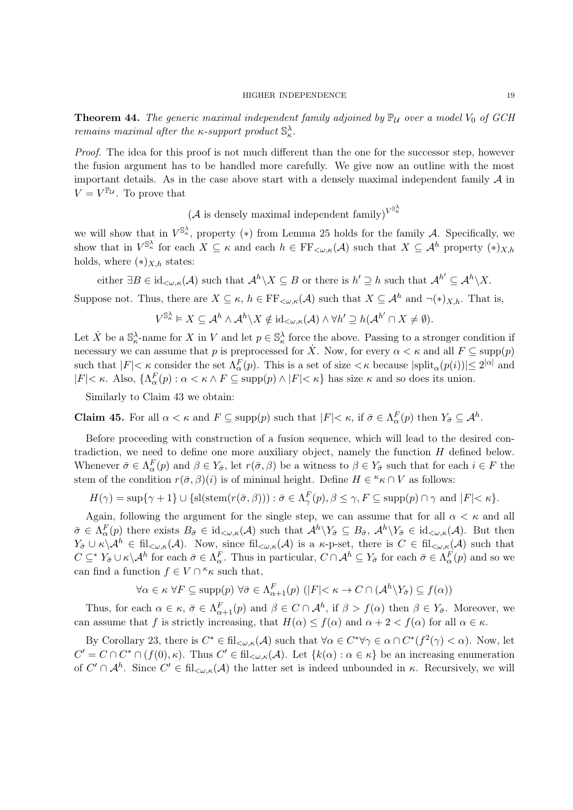**Theorem 44.** The generic maximal independent family adjoined by  $\mathbb{P}_U$  over a model  $V_0$  of GCH *remains maximal after the*  $\kappa$ *-support product*  $\mathbb{S}_{\kappa}^{\lambda}$ .

Proof. The idea for this proof is not much different than the one for the successor step, however the fusion argument has to be handled more carefully. We give now an outline with the most important details. As in the case above start with a densely maximal independent family  $\mathcal A$  in  $V = V^{\mathbb{P}_{\mathcal{U}}}$ . To prove that

(*A* is densely maximal independent family)<sup> $V^{\mathbb{S}_{\kappa}^{\lambda}}$ </sup>

we will show that in  $V^{\mathbb{S}^{\lambda}_{\kappa}}$ , property (\*) from Lemma 25 holds for the family A. Specifically, we show that in  $V^{\mathbb{S}^{\lambda}_{\kappa}}$  for each  $X \subseteq \kappa$  and each  $h \in \mathrm{FF}_{\langle \omega, \kappa]}(\mathcal{A})$  such that  $X \subseteq \mathcal{A}^h$  property  $(*)_{X,h}$ holds, where  $(*)_{X,h}$  states:

either  $\exists B \in \mathrm{id}_{\lt \omega,\kappa}(\mathcal{A})$  such that  $\mathcal{A}^h \backslash X \subseteq B$  or there is  $h' \supseteq h$  such that  $\mathcal{A}^{h'} \subseteq \mathcal{A}^h \backslash X$ .

Suppose not. Thus, there are  $X \subseteq \kappa$ ,  $h \in \mathrm{FF}_{\leq \omega,\kappa}(\mathcal{A})$  such that  $X \subseteq \mathcal{A}^h$  and  $\neg(\ast)_{X,h}$ . That is,

$$
V^{\mathbb{S}^{\lambda}_{\kappa}}\vDash X\subseteq \mathcal{A}^h\wedge \mathcal{A}^h\backslash X \notin \mathrm{id}_{<\omega,\kappa}(\mathcal{A})\wedge \forall h'\supseteq h(\mathcal{A}^{h'}\cap X\neq \emptyset).
$$

Let  $\dot{X}$  be a  $\mathbb{S}_{\kappa}^{\lambda}$ -name for X in V and let  $p \in \mathbb{S}_{\kappa}^{\lambda}$  force the above. Passing to a stronger condition if necessary we can assume that p is preprocessed for  $\dot{X}$ . Now, for every  $\alpha < \kappa$  and all  $F \subseteq \text{supp}(p)$ such that  $|F| < \kappa$  consider the set  $\Lambda_{\alpha}^{F}(p)$ . This is a set of size  $<\kappa$  because  $|\text{split}_{\alpha}(p(i))| \leq 2^{|\alpha|}$  and  $|F| < \kappa$ . Also,  $\{\Lambda_{\alpha}^{F}(p) : \alpha < \kappa \wedge F \subseteq \text{supp}(p) \wedge |F| < \kappa\}$  has size  $\kappa$  and so does its union.

Similarly to Claim 43 we obtain:

**Claim 45.** For all  $\alpha < \kappa$  and  $F \subseteq \text{supp}(p)$  such that  $|F| < \kappa$ , if  $\bar{\sigma} \in \Lambda_{\alpha}^{F}(p)$  then  $Y_{\bar{\sigma}} \subseteq \mathcal{A}^{h}$ .

Before proceeding with construction of a fusion sequence, which will lead to the desired contradiction, we need to define one more auxiliary object, namely the function  $H$  defined below. Whenever  $\bar{\sigma} \in \Lambda_{\alpha}^{F}(p)$  and  $\beta \in Y_{\bar{\sigma}}$ , let  $r(\bar{\sigma}, \beta)$  be a witness to  $\beta \in Y_{\bar{\sigma}}$  such that for each  $i \in F$  the stem of the condition  $r(\bar{\sigma}, \beta)(i)$  is of minimal height. Define  $H \in \kappa \cap V$  as follows:

$$
H(\gamma) = \sup \{ \gamma + 1 \} \cup \{ \text{sl}(\text{stem}(r(\bar{\sigma}, \beta))) : \bar{\sigma} \in \Lambda^F_\gamma(p), \beta \leq \gamma, F \subseteq \text{supp}(p) \cap \gamma \text{ and } |F| < \kappa \}.
$$

Again, following the argument for the single step, we can assume that for all  $\alpha < \kappa$  and all  $\bar{\sigma} \in \Lambda_{\alpha}^{F}(p)$  there exists  $B_{\bar{\sigma}} \in \mathrm{id}_{\langle \omega,\kappa}(\mathcal{A})$  such that  $\mathcal{A}^{h}\backslash Y_{\bar{\sigma}} \subseteq B_{\bar{\sigma}}, \mathcal{A}^{h}\backslash Y_{\bar{\sigma}} \in \mathrm{id}_{\langle \omega,\kappa}(\mathcal{A})$ . But then  $Y_{\bar{\sigma}} \cup \kappa \setminus \mathcal{A}^h \in \text{fil}_{\leq \omega,\kappa}(\mathcal{A})$ . Now, since  $\text{fil}_{\leq \omega,\kappa}(\mathcal{A})$  is a  $\kappa$ -p-set, there is  $C \in \text{fil}_{\leq \omega,\kappa}(\mathcal{A})$  such that  $C \subseteq^* Y_{\bar{\sigma}} \cup \kappa \setminus A^h$  for each  $\bar{\sigma} \in \Lambda_{\alpha}^F$ . Thus in particular,  $C \cap A^h \subseteq Y_{\bar{\sigma}}$  for each  $\bar{\sigma} \in \Lambda_{\alpha}^F(p)$  and so we can find a function  $f \in V \cap {}^{\kappa} \kappa$  such that,

$$
\forall \alpha \in \kappa \ \forall F \subseteq \text{supp}(p) \ \forall \bar{\sigma} \in \Lambda_{\alpha+1}^F(p) \ (|F| < \kappa \to C \cap (\mathcal{A}^h \setminus Y_{\bar{\sigma}}) \subseteq f(\alpha))
$$

Thus, for each  $\alpha \in \kappa$ ,  $\bar{\sigma} \in \Lambda_{\alpha+1}^F(p)$  and  $\beta \in C \cap \mathcal{A}^h$ , if  $\beta > f(\alpha)$  then  $\beta \in Y_{\bar{\sigma}}$ . Moreover, we can assume that f is strictly increasing, that  $H(\alpha) \leq f(\alpha)$  and  $\alpha + 2 < f(\alpha)$  for all  $\alpha \in \kappa$ .

By Corollary 23, there is  $C^* \in \text{fil}_{\leq \omega,\kappa}(\mathcal{A})$  such that  $\forall \alpha \in C^* \forall \gamma \in \alpha \cap C^* (f^2(\gamma) \leq \alpha)$ . Now, let  $C' = C \cap C^* \cap (f(0), \kappa)$ . Thus  $C' \in \mathrm{fil}_{\langle \omega, \kappa]}(\mathcal{A})$ . Let  $\{k(\alpha) : \alpha \in \kappa\}$  be an increasing enumeration of  $C' \cap A^h$ . Since  $C' \in \text{fil}_{\lt \omega,\kappa}(A)$  the latter set is indeed unbounded in  $\kappa$ . Recursively, we will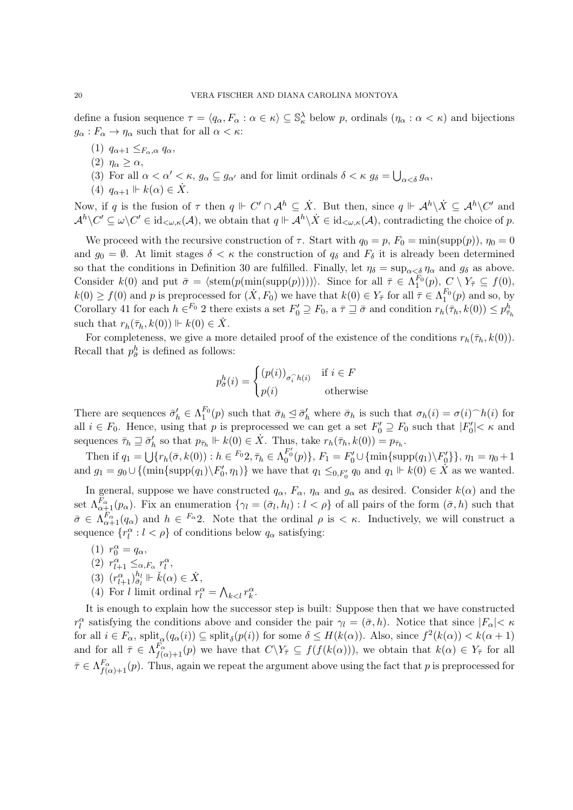define a fusion sequence  $\tau = \langle q_\alpha, F_\alpha : \alpha \in \kappa \rangle \subseteq \mathbb{S}_\kappa^\lambda$  below p, ordinals  $(\eta_\alpha : \alpha < \kappa)$  and bijections  $g_{\alpha}: F_{\alpha} \to \eta_{\alpha}$  such that for all  $\alpha < \kappa$ :

- (1)  $q_{\alpha+1} \leq_{F_\alpha,\alpha} q_\alpha$
- (2)  $\eta_{\alpha} \geq \alpha$ ,
- (3) For all  $\alpha < \alpha' < \kappa$ ,  $g_{\alpha} \subseteq g_{\alpha'}$  and for limit ordinals  $\delta < \kappa$   $g_{\delta} = \bigcup_{\alpha < \delta} g_{\alpha}$ ,
- (4)  $q_{\alpha+1} \Vdash k(\alpha) \in \dot{X}$ .

Now, if q is the fusion of  $\tau$  then  $q \Vdash C' \cap A^h \subseteq \dot{X}$ . But then, since  $q \Vdash A^h \backslash \dot{X} \subseteq A^h \backslash C'$  and  $\mathcal{A}^h\setminus C'\subseteq \omega\setminus C'\in {\rm id}_{<\omega,\kappa}(\mathcal{A}),$  we obtain that  $q\Vdash \mathcal{A}^h\setminus \dot{X}\in {\rm id}_{<\omega,\kappa}(\mathcal{A}),$  contradicting the choice of p.

We proceed with the recursive construction of  $\tau$ . Start with  $q_0 = p$ ,  $F_0 = \min(\text{supp}(p))$ ,  $\eta_0 = 0$ and  $g_0 = \emptyset$ . At limit stages  $\delta < \kappa$  the construction of  $q_\delta$  and  $F_\delta$  it is already been determined so that the conditions in Definition 30 are fulfilled. Finally, let  $\eta_{\delta} = \sup_{\alpha < \delta} \eta_{\alpha}$  and  $g_{\delta}$  as above. Consider  $k(0)$  and put  $\bar{\sigma} = \langle \operatorname{stem}(p(\min(\operatorname{supp}(p)))) \rangle$ . Since for all  $\bar{\tau} \in \Lambda_1^{F_0}(p)$ ,  $C \setminus Y_{\bar{\tau}} \subseteq f(0)$ ,  $k(0) \ge f(0)$  and p is preprocessed for  $(\dot{X}, F_0)$  we have that  $k(0) \in Y_{\overline{\tau}}$  for all  $\overline{\tau} \in \Lambda_1^{F_0}(p)$  and so, by Corollary 41 for each  $h \in \mathbb{F}^0$  2 there exists a set  $F'_0 \supseteq F_0$ , a  $\bar{\tau} \supseteq \bar{\sigma}$  and condition  $r_h(\bar{\tau}_h, k(0)) \leq p_{\bar{\tau}_h}^h$ such that  $r_h(\bar{\tau}_h, k(0)) \Vdash k(0) \in \dot{X}$ .

For completeness, we give a more detailed proof of the existence of the conditions  $r_h(\bar{\tau}_h, k(0))$ . Recall that  $p_{\bar{\sigma}}^h$  is defined as follows:

$$
p_{\bar{\sigma}}^h(i) = \begin{cases} (p(i))_{\sigma_i \cap h(i)} & \text{if } i \in F \\ p(i) & \text{otherwise} \end{cases}
$$

There are sequences  $\bar{\sigma}'_h \in \Lambda_1^{F_0}(p)$  such that  $\bar{\sigma}_h \leq \bar{\sigma}'_h$  where  $\bar{\sigma}_h$  is such that  $\sigma_h(i) = \sigma(i)^{\frown}h(i)$  for all  $i \in F_0$ . Hence, using that p is preprocessed we can get a set  $F'_0 \supseteq F_0$  such that  $|F'_0| < \kappa$  and sequences  $\bar{\tau}_h \sqsupseteq \bar{\sigma}'_h$  so that  $p_{\bar{\tau}_h} \Vdash k(0) \in \dot{X}$ . Thus, take  $r_h(\bar{\tau}_h, k(0)) = p_{\bar{\tau}_h}$ .

Then if  $q_1 = \bigcup \{ r_h(\bar{\sigma}, k(0)) : h \in {}^{F_0}2, \bar{\tau}_h \in \Lambda_0^{F'_0}(p) \}, F_1 = F'_0 \cup \{ \min \{ \text{supp}(q_1) \setminus F'_0 \} \}, \eta_1 = \eta_0 + 1$ and  $g_1 = g_0 \cup \{(\min\{\text{supp}(q_1)\setminus F'_0, \eta_1)\}\}\$ we have that  $q_1 \leq_{0,F'_0} q_0$  and  $q_1 \Vdash k(0) \in \hat{X}$  as we wanted.

In general, suppose we have constructed  $q_{\alpha}$ ,  $F_{\alpha}$ ,  $\eta_{\alpha}$  and  $g_{\alpha}$  as desired. Consider  $k(\alpha)$  and the set  $\Lambda_{\alpha+1}^{F_{\alpha}}(p_{\alpha})$ . Fix an enumeration  $\{\gamma_l = (\bar{\sigma}_l, h_l) : l < \rho\}$  of all pairs of the form  $(\bar{\sigma}, h)$  such that  $\bar{\sigma} \in \Lambda_{\alpha+1}^{F_{\alpha}}(q_{\alpha})$  and  $h \in F_{\alpha}$ ? Note that the ordinal  $\rho$  is  $\lt \kappa$ . Inductively, we will construct a sequence  $\{r_l^{\alpha}: l < \rho\}$  of conditions below  $q_{\alpha}$  satisfying:

- (1)  $r_0^{\alpha} = q_{\alpha}$ , (2)  $r^{\alpha}_{l+1} \leq_{\alpha, F_{\alpha}} r^{\alpha}_{l}$ , (3)  $(r^{\alpha}_{l+1})_{\bar{\sigma}_l}^{h_l} \Vdash \check{k}(\alpha) \in \dot{X},$
- (4) For *l* limit ordinal  $r_l^{\alpha} = \bigwedge_{k < l} r_k^{\alpha}$ .

It is enough to explain how the successor step is built: Suppose then that we have constructed  $r_l^{\alpha}$  satisfying the conditions above and consider the pair  $\gamma_l = (\bar{\sigma}, h)$ . Notice that since  $|F_{\alpha}| < \kappa$ for all  $i \in F_\alpha$ , split $_{\alpha}(q_\alpha(i)) \subseteq$  split $_{\delta}(p(i))$  for some  $\delta \leq H(k(\alpha))$ . Also, since  $f^2(k(\alpha)) < k(\alpha+1)$ and for all  $\bar{\tau} \in \Lambda_{f(\alpha)+1}^{F_\alpha}(p)$  we have that  $C \setminus Y_{\bar{\tau}} \subseteq f(f(k(\alpha))),$  we obtain that  $k(\alpha) \in Y_{\bar{\tau}}$  for all  $\bar{\tau} \in \Lambda_{f(\alpha)+1}^{F_\alpha}(p)$ . Thus, again we repeat the argument above using the fact that p is preprocessed for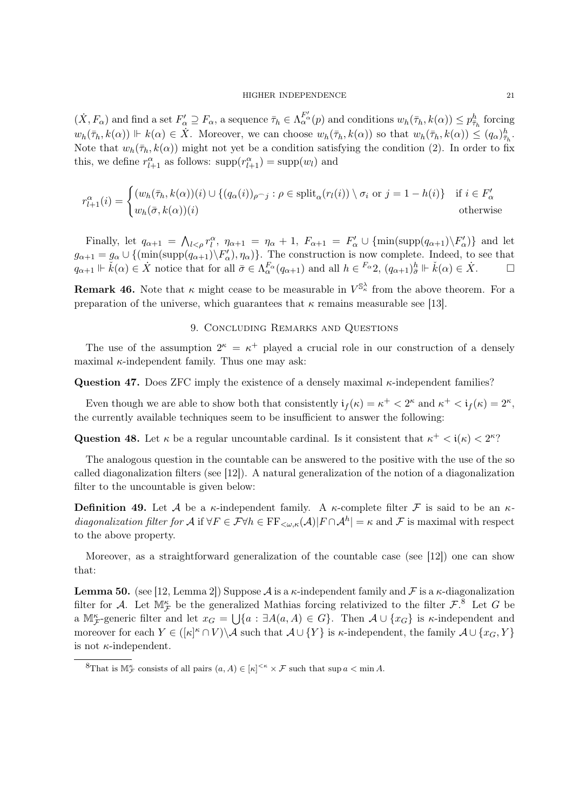$(\dot{X}, F_{\alpha})$  and find a set  $F'_{\alpha} \supseteq F_{\alpha}$ , a sequence  $\bar{\tau}_h \in \Lambda_{\alpha}^{F'_{\alpha}}(p)$  and conditions  $w_h(\bar{\tau}_h, k(\alpha)) \leq p_{\bar{\tau}_h}^h$  forcing  $w_h(\bar{\tau}_h, k(\alpha)) \Vdash k(\alpha) \in \dot{X}$ . Moreover, we can choose  $w_h(\bar{\tau}_h, k(\alpha))$  so that  $w_h(\bar{\tau}_h, k(\alpha)) \leq (q_\alpha) \frac{h}{\bar{\tau}_h}$ . Note that  $w_h(\bar{\tau}_h, k(\alpha))$  might not yet be a condition satisfying the condition (2). In order to fix this, we define  $r^{\alpha}_{l+1}$  as follows:  $\text{supp}(r^{\alpha}_{l+1}) = \text{supp}(w_l)$  and

$$
r_{l+1}^{\alpha}(i) = \begin{cases} (w_h(\bar{\tau}_h, k(\alpha))(i) \cup \{ (q_{\alpha}(i))_{\rho \cap j} : \rho \in \text{split}_{\alpha}(r_l(i)) \setminus \sigma_i \text{ or } j = 1 - h(i) \} & \text{if } i \in F_{\alpha}' \\ w_h(\bar{\sigma}, k(\alpha))(i) & \text{otherwise} \end{cases}
$$

Finally, let  $q_{\alpha+1} = \bigwedge_{l \leq \rho} r_l^{\alpha}$ ,  $\eta_{\alpha+1} = \eta_{\alpha} + 1$ ,  $F_{\alpha+1} = F'_{\alpha} \cup \{\min(\text{supp}(q_{\alpha+1})\setminus F'_{\alpha})\}\)$  and let  $g_{\alpha+1} = g_{\alpha} \cup \{(\min(\text{supp}(q_{\alpha+1})\backslash F'_{\alpha}), \eta_{\alpha})\}.$  The construction is now complete. Indeed, to see that  $q_{\alpha+1} \Vdash \check{k}(\alpha) \in \dot{X}$  notice that for all  $\bar{\sigma} \in \Lambda_{\alpha}^{F_{\alpha}}(q_{\alpha+1})$  and all  $h \in {}^{F_{\alpha}}2$ ,  $(q_{\alpha+1})^h_{\bar{\sigma}} \Vdash \check{k}(\alpha) \in \dot{X}$ .  $\Box$ 

**Remark 46.** Note that  $\kappa$  might cease to be measurable in  $V^{\mathbb{S}^{\lambda}_{\kappa}}$  from the above theorem. For a preparation of the universe, which guarantees that  $\kappa$  remains measurable see [13].

## 9. Concluding Remarks and Questions

The use of the assumption  $2^k = \kappa^+$  played a crucial role in our construction of a densely maximal  $\kappa$ -independent family. Thus one may ask:

**Question 47.** Does ZFC imply the existence of a densely maximal  $\kappa$ -independent families?

Even though we are able to show both that consistently  $\mathfrak{i}_f(\kappa) = \kappa^+ < 2^{\kappa}$  and  $\kappa^+ < \mathfrak{i}_f(\kappa) = 2^{\kappa}$ , the currently available techniques seem to be insufficient to answer the following:

Question 48. Let  $\kappa$  be a regular uncountable cardinal. Is it consistent that  $\kappa^+ < i(\kappa) < 2^{\kappa}$ ?

The analogous question in the countable can be answered to the positive with the use of the so called diagonalization filters (see [12]). A natural generalization of the notion of a diagonalization filter to the uncountable is given below:

**Definition 49.** Let A be a  $\kappa$ -independent family. A  $\kappa$ -complete filter F is said to be an  $\kappa$ diagonalization filter for  $\mathcal A$  if  $\forall F \in \mathcal F \forall h \in \mathrm{FF}_{\langle \omega, \kappa}(\mathcal A) | F \cap \mathcal A^h| = \kappa$  and  $\mathcal F$  is maximal with respect to the above property.

Moreover, as a straightforward generalization of the countable case (see [12]) one can show that:

**Lemma 50.** (see [12, Lemma 2]) Suppose A is a  $\kappa$ -independent family and F is a  $\kappa$ -diagonalization filter for A. Let  $M_F^{\kappa}$  be the generalized Mathias forcing relativized to the filter  $\mathcal{F}$ .<sup>8</sup> Let G be a  $M_{\mathcal{F}}^{\kappa}$ -generic filter and let  $x_G = \bigcup \{a : \exists A(a, A) \in G\}$ . Then  $\mathcal{A} \cup \{x_G\}$  is  $\kappa$ -independent and moreover for each  $Y \in ([\kappa]^{\kappa} \cap V) \backslash \mathcal{A}$  such that  $\mathcal{A} \cup \{Y\}$  is  $\kappa$ -independent, the family  $\mathcal{A} \cup \{x_G, Y\}$ is not  $\kappa$ -independent.

<sup>&</sup>lt;sup>8</sup>That is  $\mathbb{M}_{\mathcal{F}}^{\kappa}$  consists of all pairs  $(a, A) \in [\kappa]^{<\kappa} \times \mathcal{F}$  such that sup  $a < \min A$ .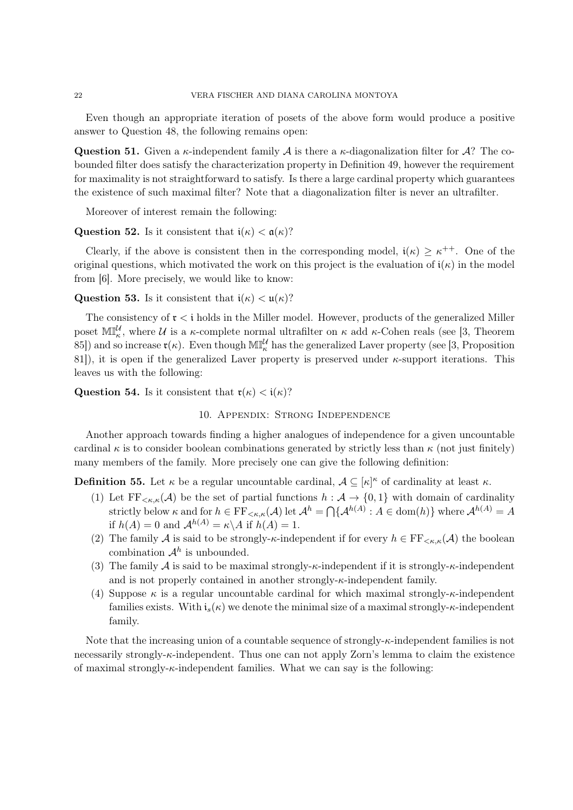Even though an appropriate iteration of posets of the above form would produce a positive answer to Question 48, the following remains open:

**Question 51.** Given a  $\kappa$ -independent family A is there a  $\kappa$ -diagonalization filter for A? The cobounded filter does satisfy the characterization property in Definition 49, however the requirement for maximality is not straightforward to satisfy. Is there a large cardinal property which guarantees the existence of such maximal filter? Note that a diagonalization filter is never an ultrafilter.

Moreover of interest remain the following:

Question 52. Is it consistent that  $i(\kappa) < \mathfrak{a}(\kappa)$ ?

Clearly, if the above is consistent then in the corresponding model,  $i(\kappa) \geq \kappa^{++}$ . One of the original questions, which motivated the work on this project is the evaluation of  $i(\kappa)$  in the model from [6]. More precisely, we would like to know:

# **Question 53.** Is it consistent that  $i(\kappa) < \mathfrak{u}(\kappa)$ ?

The consistency of  $\mathfrak{r} < i$  holds in the Miller model. However, products of the generalized Miller poset  $\mathbb{MI}^{\mathcal{U}}_{\kappa}$ , where  $\mathcal U$  is a  $\kappa$ -complete normal ultrafilter on  $\kappa$  add  $\kappa$ -Cohen reals (see [3, Theorem 85]) and so increase  $\mathfrak{r}(\kappa)$ . Even though  $\mathbb{MI}^\mathcal{U}_\kappa$  has the generalized Laver property (see [3, Proposition 81]), it is open if the generalized Laver property is preserved under  $\kappa$ -support iterations. This leaves us with the following:

**Question 54.** Is it consistent that  $\mathfrak{r}(\kappa) < \mathfrak{i}(\kappa)$ ?

10. Appendix: Strong Independence

Another approach towards finding a higher analogues of independence for a given uncountable cardinal  $\kappa$  is to consider boolean combinations generated by strictly less than  $\kappa$  (not just finitely) many members of the family. More precisely one can give the following definition:

**Definition 55.** Let  $\kappa$  be a regular uncountable cardinal,  $\mathcal{A} \subseteq [\kappa]^{\kappa}$  of cardinality at least  $\kappa$ .

- (1) Let  $FF_{\leq\kappa,\kappa}(\mathcal{A})$  be the set of partial functions  $h:\mathcal{A}\to\{0,1\}$  with domain of cardinality strictly below  $\kappa$  and for  $h \in \mathrm{FF}_{\leq \kappa,\kappa}(\mathcal{A})$  let  $\mathcal{A}^h = \bigcap \{\mathcal{A}^{h(A)} : A \in \text{dom}(h)\}\$  where  $\mathcal{A}^{h(A)} = A$ if  $h(A) = 0$  and  $\mathcal{A}^{h(A)} = \kappa \backslash A$  if  $h(A) = 1$ .
- (2) The family A is said to be strongly- $\kappa$ -independent if for every  $h \in \mathrm{FF}_{\leq \kappa,\kappa}(\mathcal{A})$  the boolean combination  $\mathcal{A}^h$  is unbounded.
- (3) The family  $A$  is said to be maximal strongly- $\kappa$ -independent if it is strongly- $\kappa$ -independent and is not properly contained in another strongly- $\kappa$ -independent family.
- (4) Suppose  $\kappa$  is a regular uncountable cardinal for which maximal strongly- $\kappa$ -independent families exists. With  $i_s(\kappa)$  we denote the minimal size of a maximal strongly- $\kappa$ -independent family.

Note that the increasing union of a countable sequence of strongly- $\kappa$ -independent families is not necessarily strongly-κ-independent. Thus one can not apply Zorn's lemma to claim the existence of maximal strongly- $\kappa$ -independent families. What we can say is the following: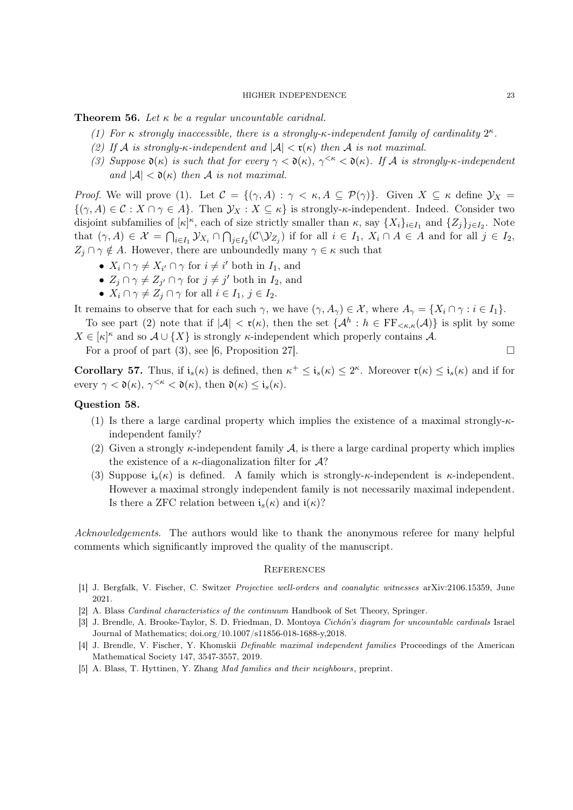**Theorem 56.** Let  $\kappa$  be a regular uncountable caridnal.

- (1) For  $\kappa$  strongly inaccessible, there is a strongly- $\kappa$ -independent family of cardinality  $2^{\kappa}$ .
- (2) If A is strongly- $\kappa$ -independent and  $|\mathcal{A}| < \mathfrak{r}(\kappa)$  then A is not maximal.
- (3) Suppose  $\mathfrak{d}(\kappa)$  is such that for every  $\gamma < \mathfrak{d}(\kappa)$ ,  $\gamma^{<\kappa} < \mathfrak{d}(\kappa)$ . If A is strongly- $\kappa$ -independent and  $|\mathcal{A}| < \mathfrak{d}(\kappa)$  then A is not maximal.

*Proof.* We will prove (1). Let  $\mathcal{C} = \{(\gamma, A) : \gamma < \kappa, A \subseteq \mathcal{P}(\gamma)\}\$ . Given  $X \subseteq \kappa$  define  $\mathcal{Y}_X =$  $\{(\gamma, A) \in \mathcal{C} : X \cap \gamma \in A\}$ . Then  $\mathcal{Y}_X : X \subseteq \kappa\}$  is strongly- $\kappa$ -independent. Indeed. Consider two disjoint subfamilies of  $[\kappa]^{\kappa}$ , each of size strictly smaller than  $\kappa$ , say  $\{X_i\}_{i\in I_1}$  and  $\{Z_j\}_{j\in I_2}$ . Note that  $(\gamma, A) \in \mathcal{X} = \bigcap_{i \in I_1} \mathcal{Y}_{X_i} \cap \bigcap_{j \in I_2} (\mathcal{C} \setminus \mathcal{Y}_{Z_j})$  if for all  $i \in I_1, X_i \cap A \in A$  and for all  $j \in I_2$ ,  $Z_i \cap \gamma \notin A$ . However, there are unboundedly many  $\gamma \in \kappa$  such that

- $X_i \cap \gamma \neq X_{i'} \cap \gamma$  for  $i \neq i'$  both in  $I_1$ , and
- $Z_j \cap \gamma \neq Z_{j'} \cap \gamma$  for  $j \neq j'$  both in  $I_2$ , and
- $X_i \cap \gamma \neq Z_j \cap \gamma$  for all  $i \in I_1, j \in I_2$ .

It remains to observe that for each such  $\gamma$ , we have  $(\gamma, A_{\gamma}) \in \mathcal{X}$ , where  $A_{\gamma} = \{X_i \cap \gamma : i \in I_1\}.$ 

To see part (2) note that if  $|\mathcal{A}| < \mathfrak{r}(\kappa)$ , then the set  $\{\mathcal{A}^h : h \in \mathrm{FF}_{\leq \kappa,\kappa}(\mathcal{A})\}$  is split by some  $X \in [\kappa]^{\kappa}$  and so  $\mathcal{A} \cup \{X\}$  is strongly  $\kappa$ -independent which properly contains A.

For a proof of part (3), see [6, Proposition 27].  $\Box$ 

**Corollary 57.** Thus, if  $i_s(\kappa)$  is defined, then  $\kappa^+ \leq i_s(\kappa) \leq 2^{\kappa}$ . Moreover  $\mathfrak{r}(\kappa) \leq i_s(\kappa)$  and if for every  $\gamma < \mathfrak{d}(\kappa)$ ,  $\gamma^{\leq \kappa} < \mathfrak{d}(\kappa)$ , then  $\mathfrak{d}(\kappa) \leq \mathfrak{i}_s(\kappa)$ .

# Question 58.

- (1) Is there a large cardinal property which implies the existence of a maximal strongly- $\kappa$ independent family?
- (2) Given a strongly  $\kappa$ -independent family A, is there a large cardinal property which implies the existence of a  $\kappa$ -diagonalization filter for  $\mathcal{A}$ ?
- (3) Suppose  $i_s(\kappa)$  is defined. A family which is strongly- $\kappa$ -independent is  $\kappa$ -independent. However a maximal strongly independent family is not necessarily maximal independent. Is there a ZFC relation between  $i_s(\kappa)$  and  $i(\kappa)$ ?

Acknowledgements. The authors would like to thank the anonymous referee for many helpful comments which significantly improved the quality of the manuscript.

#### **REFERENCES**

- [1] J. Bergfalk, V. Fischer, C. Switzer Projective well-orders and coanalytic witnesses arXiv:2106.15359, June 2021.
- [2] A. Blass Cardinal characteristics of the continuum Handbook of Set Theory, Springer.
- [3] J. Brendle, A. Brooke-Taylor, S. D. Friedman, D. Montoya Cichón's diagram for uncountable cardinals Israel Journal of Mathematics; doi.org/10.1007/s11856-018-1688-y,2018.
- [4] J. Brendle, V. Fischer, Y. Khomskii Definable maximal independent families Proceedings of the American Mathematical Society 147, 3547-3557, 2019.
- [5] A. Blass, T. Hyttinen, Y. Zhang Mad families and their neighbours, preprint.